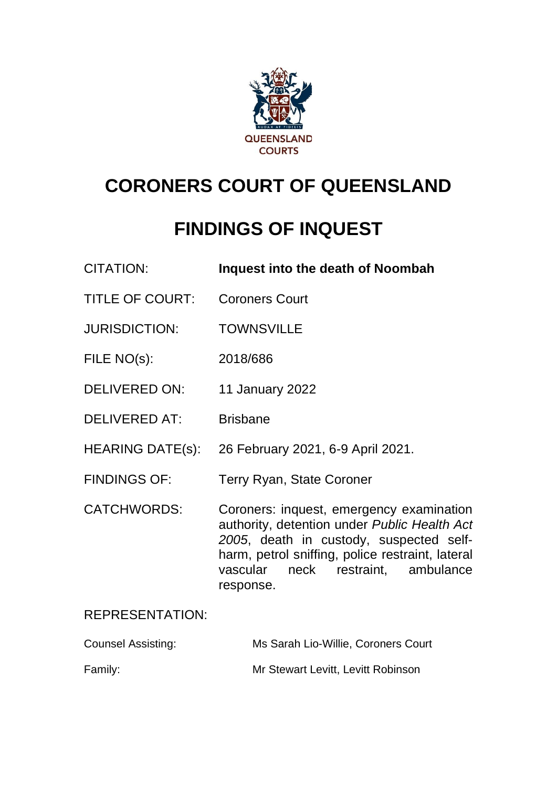

# **CORONERS COURT OF QUEENSLAND**

# **FINDINGS OF INQUEST**

| <b>CITATION:</b>        | Inquest into the death of Noombah                                                                                                                                                                                                                |
|-------------------------|--------------------------------------------------------------------------------------------------------------------------------------------------------------------------------------------------------------------------------------------------|
| <b>TITLE OF COURT:</b>  | <b>Coroners Court</b>                                                                                                                                                                                                                            |
| <b>JURISDICTION:</b>    | <b>TOWNSVILLE</b>                                                                                                                                                                                                                                |
| FILE NO(s):             | 2018/686                                                                                                                                                                                                                                         |
| <b>DELIVERED ON:</b>    | 11 January 2022                                                                                                                                                                                                                                  |
| <b>DELIVERED AT:</b>    | <b>Brisbane</b>                                                                                                                                                                                                                                  |
| <b>HEARING DATE(s):</b> | 26 February 2021, 6-9 April 2021.                                                                                                                                                                                                                |
| <b>FINDINGS OF:</b>     | <b>Terry Ryan, State Coroner</b>                                                                                                                                                                                                                 |
| <b>CATCHWORDS:</b>      | Coroners: inquest, emergency examination<br>authority, detention under Public Health Act<br>2005, death in custody, suspected self-<br>harm, petrol sniffing, police restraint, lateral<br>neck restraint,<br>ambulance<br>vascular<br>response. |
| <b>REPRESENTATION:</b>  |                                                                                                                                                                                                                                                  |

Counsel Assisting: Ms Sarah Lio-Willie, Coroners Court Family: **Family:** Mr Stewart Levitt, Levitt Robinson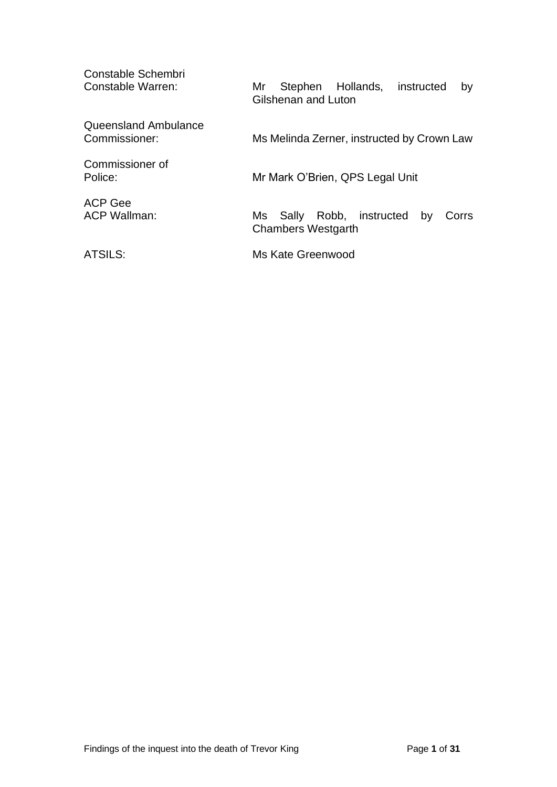Constable Schembri<br>Constable Warren: Mr Stephen Hollands, instructed by Gilshenan and Luton Queensland Ambulance Commissioner: Ms Melinda Zerner, instructed by Crown Law Commissioner of Police: Mr Mark O'Brien, QPS Legal Unit ACP Gee<br>ACP Wallman: Ms Sally Robb, instructed by Corrs Chambers Westgarth ATSILS: Ms Kate Greenwood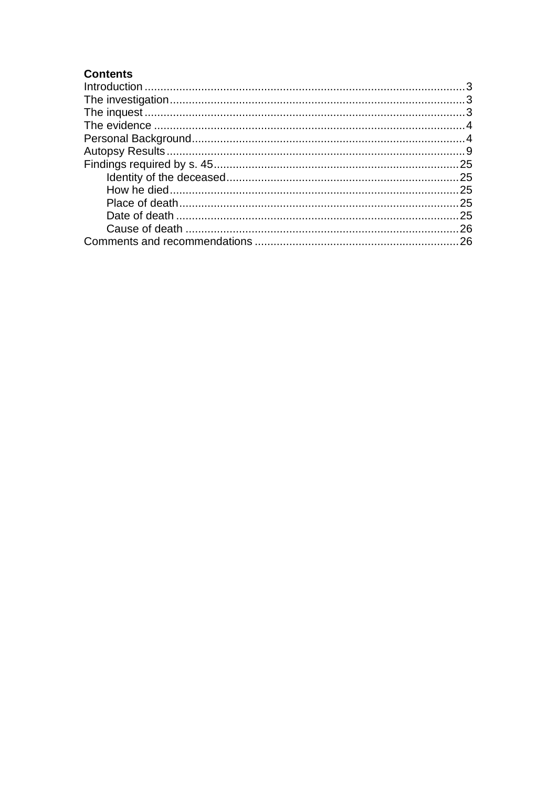# **Contents**

| $\label{eq:interoduction} \text{Introduction} \,\, \ldots \,\, \ldots \,\, \ldots \,\, \ldots \,\, \ldots \,\, \ldots \,\, \ldots \,\, \ldots \,\, \ldots \,\, \ldots \,\, \ldots \,\, \ldots \,\, \ldots \,\, \ldots \,\, \ldots \,\, \ldots \,\, \ldots \,\, \ldots \,\, \ldots \,\, \ldots \,\, \ldots \,\, \ldots \,\, \ldots \,\, \ldots \,\, \ldots \,\, \ldots \,\, \ldots \,\, \ldots \,\, \ldots \,\, \ldots \,\, \ldots \,\, \ldots \,\, \ldots \,\, \ldots \,\$ |  |
|----------------------------------------------------------------------------------------------------------------------------------------------------------------------------------------------------------------------------------------------------------------------------------------------------------------------------------------------------------------------------------------------------------------------------------------------------------------------------|--|
|                                                                                                                                                                                                                                                                                                                                                                                                                                                                            |  |
|                                                                                                                                                                                                                                                                                                                                                                                                                                                                            |  |
|                                                                                                                                                                                                                                                                                                                                                                                                                                                                            |  |
|                                                                                                                                                                                                                                                                                                                                                                                                                                                                            |  |
|                                                                                                                                                                                                                                                                                                                                                                                                                                                                            |  |
|                                                                                                                                                                                                                                                                                                                                                                                                                                                                            |  |
|                                                                                                                                                                                                                                                                                                                                                                                                                                                                            |  |
|                                                                                                                                                                                                                                                                                                                                                                                                                                                                            |  |
|                                                                                                                                                                                                                                                                                                                                                                                                                                                                            |  |
|                                                                                                                                                                                                                                                                                                                                                                                                                                                                            |  |
|                                                                                                                                                                                                                                                                                                                                                                                                                                                                            |  |
|                                                                                                                                                                                                                                                                                                                                                                                                                                                                            |  |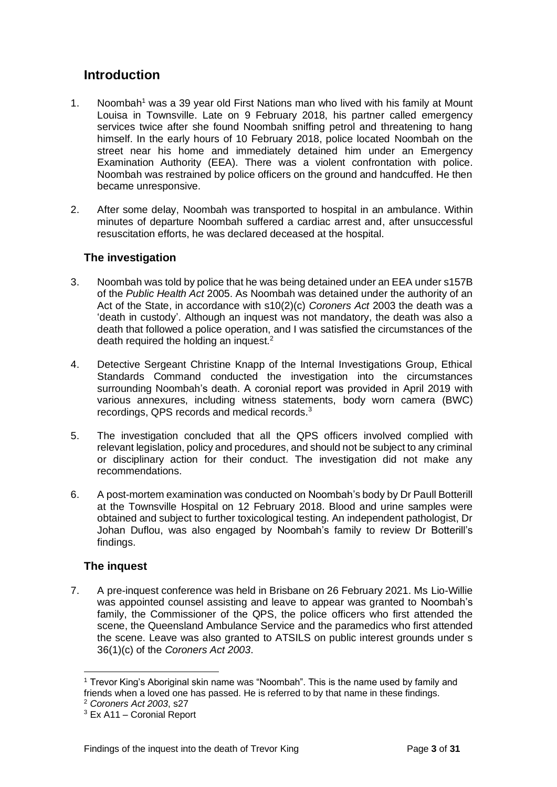# <span id="page-3-0"></span>**Introduction**

- 1. Noombah<sup>1</sup> was a 39 year old First Nations man who lived with his family at Mount Louisa in Townsville. Late on 9 February 2018, his partner called emergency services twice after she found Noombah sniffing petrol and threatening to hang himself. In the early hours of 10 February 2018, police located Noombah on the street near his home and immediately detained him under an Emergency Examination Authority (EEA). There was a violent confrontation with police. Noombah was restrained by police officers on the ground and handcuffed. He then became unresponsive.
- 2. After some delay, Noombah was transported to hospital in an ambulance. Within minutes of departure Noombah suffered a cardiac arrest and, after unsuccessful resuscitation efforts, he was declared deceased at the hospital.

# <span id="page-3-1"></span>**The investigation**

- 3. Noombah was told by police that he was being detained under an EEA under s157B of the *Public Health Act* 2005. As Noombah was detained under the authority of an Act of the State, in accordance with s10(2)(c) *Coroners Act* 2003 the death was a 'death in custody'. Although an inquest was not mandatory, the death was also a death that followed a police operation, and I was satisfied the circumstances of the death required the holding an inquest.<sup>2</sup>
- 4. Detective Sergeant Christine Knapp of the Internal Investigations Group, Ethical Standards Command conducted the investigation into the circumstances surrounding Noombah's death. A coronial report was provided in April 2019 with various annexures, including witness statements, body worn camera (BWC) recordings, QPS records and medical records.<sup>3</sup>
- 5. The investigation concluded that all the QPS officers involved complied with relevant legislation, policy and procedures, and should not be subject to any criminal or disciplinary action for their conduct. The investigation did not make any recommendations.
- 6. A post-mortem examination was conducted on Noombah's body by Dr Paull Botterill at the Townsville Hospital on 12 February 2018. Blood and urine samples were obtained and subject to further toxicological testing. An independent pathologist, Dr Johan Duflou, was also engaged by Noombah's family to review Dr Botterill's findings.

# <span id="page-3-2"></span>**The inquest**

7. A pre-inquest conference was held in Brisbane on 26 February 2021. Ms Lio-Willie was appointed counsel assisting and leave to appear was granted to Noombah's family, the Commissioner of the QPS, the police officers who first attended the scene, the Queensland Ambulance Service and the paramedics who first attended the scene. Leave was also granted to ATSILS on public interest grounds under s 36(1)(c) of the *Coroners Act 2003*.

<sup>1</sup> Trevor King's Aboriginal skin name was "Noombah". This is the name used by family and friends when a loved one has passed. He is referred to by that name in these findings.

<sup>2</sup> *Coroners Act 2003*, s27

<sup>3</sup> Ex A11 – Coronial Report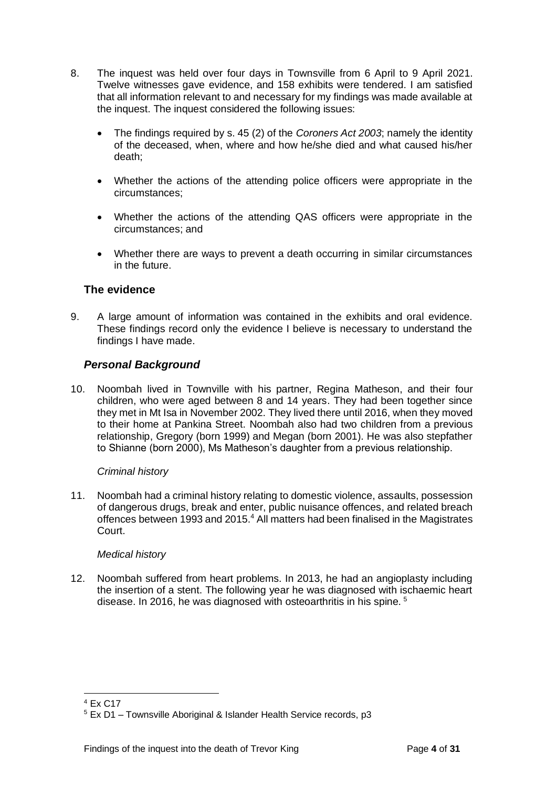- 8. The inquest was held over four days in Townsville from 6 April to 9 April 2021. Twelve witnesses gave evidence, and 158 exhibits were tendered. I am satisfied that all information relevant to and necessary for my findings was made available at the inquest. The inquest considered the following issues:
	- The findings required by s. 45 (2) of the *Coroners Act 2003*; namely the identity of the deceased, when, where and how he/she died and what caused his/her death;
	- Whether the actions of the attending police officers were appropriate in the circumstances;
	- Whether the actions of the attending QAS officers were appropriate in the circumstances; and
	- Whether there are ways to prevent a death occurring in similar circumstances in the future.

# <span id="page-4-0"></span>**The evidence**

9. A large amount of information was contained in the exhibits and oral evidence. These findings record only the evidence I believe is necessary to understand the findings I have made.

## <span id="page-4-1"></span>*Personal Background*

10. Noombah lived in Townville with his partner, Regina Matheson, and their four children, who were aged between 8 and 14 years. They had been together since they met in Mt Isa in November 2002. They lived there until 2016, when they moved to their home at Pankina Street. Noombah also had two children from a previous relationship, Gregory (born 1999) and Megan (born 2001). He was also stepfather to Shianne (born 2000), Ms Matheson's daughter from a previous relationship.

## *Criminal history*

11. Noombah had a criminal history relating to domestic violence, assaults, possession of dangerous drugs, break and enter, public nuisance offences, and related breach offences between 1993 and 2015.<sup>4</sup> All matters had been finalised in the Magistrates Court.

## *Medical history*

12. Noombah suffered from heart problems. In 2013, he had an angioplasty including the insertion of a stent. The following year he was diagnosed with ischaemic heart disease. In 2016, he was diagnosed with osteoarthritis in his spine. <sup>5</sup>

 $4$  Fx C<sub>17</sub>

 $5$  Ex D1 – Townsville Aboriginal & Islander Health Service records, p3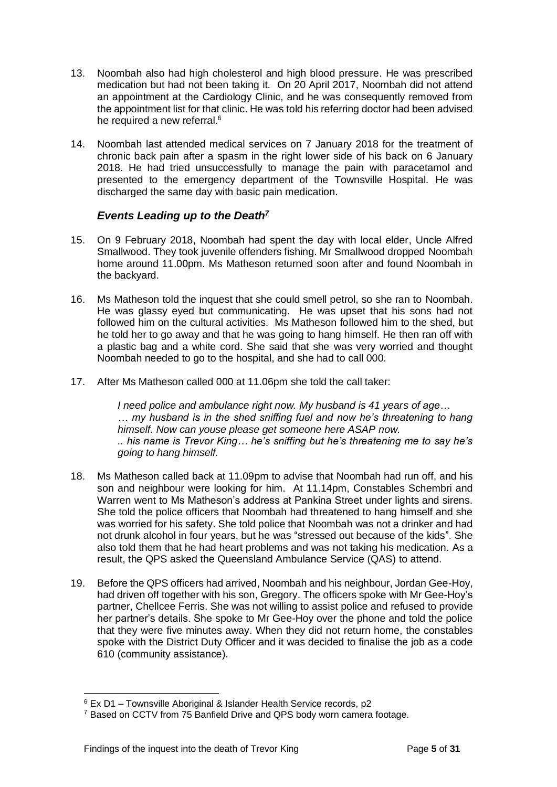- 13. Noombah also had high cholesterol and high blood pressure. He was prescribed medication but had not been taking it. On 20 April 2017, Noombah did not attend an appointment at the Cardiology Clinic, and he was consequently removed from the appointment list for that clinic. He was told his referring doctor had been advised he required a new referral.<sup>6</sup>
- 14. Noombah last attended medical services on 7 January 2018 for the treatment of chronic back pain after a spasm in the right lower side of his back on 6 January 2018. He had tried unsuccessfully to manage the pain with paracetamol and presented to the emergency department of the Townsville Hospital. He was discharged the same day with basic pain medication.

## *Events Leading up to the Death<sup>7</sup>*

- 15. On 9 February 2018, Noombah had spent the day with local elder, Uncle Alfred Smallwood. They took juvenile offenders fishing. Mr Smallwood dropped Noombah home around 11.00pm. Ms Matheson returned soon after and found Noombah in the backyard.
- 16. Ms Matheson told the inquest that she could smell petrol, so she ran to Noombah. He was glassy eyed but communicating. He was upset that his sons had not followed him on the cultural activities. Ms Matheson followed him to the shed, but he told her to go away and that he was going to hang himself. He then ran off with a plastic bag and a white cord. She said that she was very worried and thought Noombah needed to go to the hospital, and she had to call 000.
- 17. After Ms Matheson called 000 at 11.06pm she told the call taker:

*I need police and ambulance right now. My husband is 41 years of age… … my husband is in the shed sniffing fuel and now he's threatening to hang himself. Now can youse please get someone here ASAP now. .. his name is Trevor King… he's sniffing but he's threatening me to say he's going to hang himself.*

- 18. Ms Matheson called back at 11.09pm to advise that Noombah had run off, and his son and neighbour were looking for him. At 11.14pm, Constables Schembri and Warren went to Ms Matheson's address at Pankina Street under lights and sirens. She told the police officers that Noombah had threatened to hang himself and she was worried for his safety. She told police that Noombah was not a drinker and had not drunk alcohol in four years, but he was "stressed out because of the kids". She also told them that he had heart problems and was not taking his medication. As a result, the QPS asked the Queensland Ambulance Service (QAS) to attend.
- 19. Before the QPS officers had arrived, Noombah and his neighbour, Jordan Gee-Hoy, had driven off together with his son, Gregory. The officers spoke with Mr Gee-Hoy's partner, Chellcee Ferris. She was not willing to assist police and refused to provide her partner's details. She spoke to Mr Gee-Hoy over the phone and told the police that they were five minutes away. When they did not return home, the constables spoke with the District Duty Officer and it was decided to finalise the job as a code 610 (community assistance).

 $6$  Ex D1 – Townsville Aboriginal & Islander Health Service records, p2

<sup>&</sup>lt;sup>7</sup> Based on CCTV from 75 Banfield Drive and QPS body worn camera footage.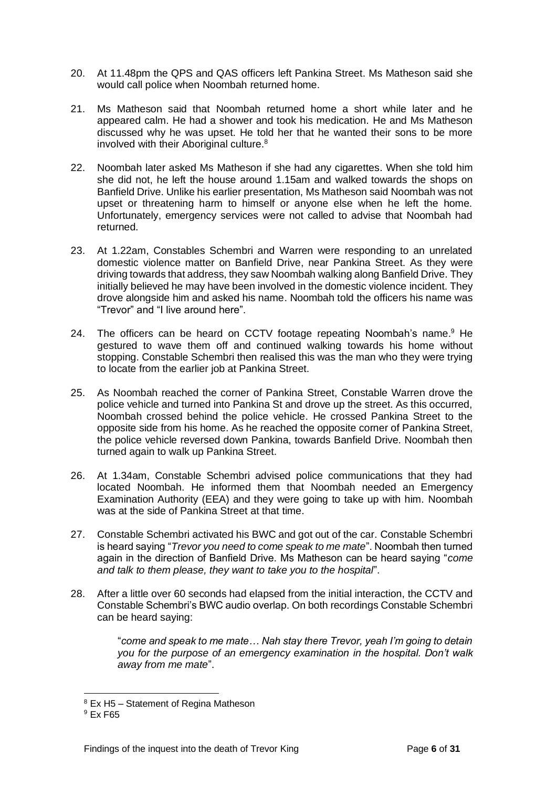- 20. At 11.48pm the QPS and QAS officers left Pankina Street. Ms Matheson said she would call police when Noombah returned home.
- 21. Ms Matheson said that Noombah returned home a short while later and he appeared calm. He had a shower and took his medication. He and Ms Matheson discussed why he was upset. He told her that he wanted their sons to be more involved with their Aboriginal culture.<sup>8</sup>
- 22. Noombah later asked Ms Matheson if she had any cigarettes. When she told him she did not, he left the house around 1.15am and walked towards the shops on Banfield Drive. Unlike his earlier presentation, Ms Matheson said Noombah was not upset or threatening harm to himself or anyone else when he left the home. Unfortunately, emergency services were not called to advise that Noombah had returned.
- 23. At 1.22am, Constables Schembri and Warren were responding to an unrelated domestic violence matter on Banfield Drive, near Pankina Street. As they were driving towards that address, they saw Noombah walking along Banfield Drive. They initially believed he may have been involved in the domestic violence incident. They drove alongside him and asked his name. Noombah told the officers his name was "Trevor" and "I live around here".
- 24. The officers can be heard on CCTV footage repeating Noombah's name.<sup>9</sup> He gestured to wave them off and continued walking towards his home without stopping. Constable Schembri then realised this was the man who they were trying to locate from the earlier job at Pankina Street.
- 25. As Noombah reached the corner of Pankina Street, Constable Warren drove the police vehicle and turned into Pankina St and drove up the street. As this occurred, Noombah crossed behind the police vehicle. He crossed Pankina Street to the opposite side from his home. As he reached the opposite corner of Pankina Street, the police vehicle reversed down Pankina, towards Banfield Drive. Noombah then turned again to walk up Pankina Street.
- 26. At 1.34am, Constable Schembri advised police communications that they had located Noombah. He informed them that Noombah needed an Emergency Examination Authority (EEA) and they were going to take up with him. Noombah was at the side of Pankina Street at that time.
- 27. Constable Schembri activated his BWC and got out of the car. Constable Schembri is heard saying "*Trevor you need to come speak to me mate*". Noombah then turned again in the direction of Banfield Drive. Ms Matheson can be heard saying "*come and talk to them please, they want to take you to the hospital*".
- 28. After a little over 60 seconds had elapsed from the initial interaction, the CCTV and Constable Schembri's BWC audio overlap. On both recordings Constable Schembri can be heard saying:

"*come and speak to me mate… Nah stay there Trevor, yeah I'm going to detain you for the purpose of an emergency examination in the hospital. Don't walk away from me mate*".

<sup>8</sup> Ex H5 – Statement of Regina Matheson

 $9$  Fx F65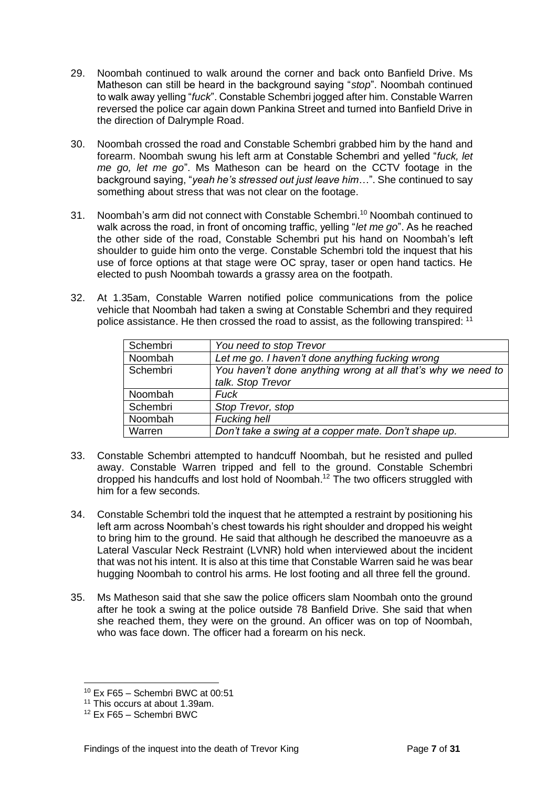- 29. Noombah continued to walk around the corner and back onto Banfield Drive. Ms Matheson can still be heard in the background saying "*stop*". Noombah continued to walk away yelling "*fuck*". Constable Schembri jogged after him. Constable Warren reversed the police car again down Pankina Street and turned into Banfield Drive in the direction of Dalrymple Road.
- 30. Noombah crossed the road and Constable Schembri grabbed him by the hand and forearm. Noombah swung his left arm at Constable Schembri and yelled "*fuck, let me go, let me go*". Ms Matheson can be heard on the CCTV footage in the background saying, "*yeah he's stressed out just leave him*…". She continued to say something about stress that was not clear on the footage.
- 31. Noombah's arm did not connect with Constable Schembri.<sup>10</sup> Noombah continued to walk across the road, in front of oncoming traffic, yelling "*let me go*". As he reached the other side of the road, Constable Schembri put his hand on Noombah's left shoulder to guide him onto the verge. Constable Schembri told the inquest that his use of force options at that stage were OC spray, taser or open hand tactics. He elected to push Noombah towards a grassy area on the footpath.
- 32. At 1.35am, Constable Warren notified police communications from the police vehicle that Noombah had taken a swing at Constable Schembri and they required police assistance. He then crossed the road to assist, as the following transpired: <sup>11</sup>

| Schembri | You need to stop Trevor                                      |
|----------|--------------------------------------------------------------|
| Noombah  | Let me go. I haven't done anything fucking wrong             |
| Schembri | You haven't done anything wrong at all that's why we need to |
|          | talk. Stop Trevor                                            |
| Noombah  | <b>Fuck</b>                                                  |
| Schembri | Stop Trevor, stop                                            |
| Noombah  | <b>Fucking hell</b>                                          |
| Warren   | Don't take a swing at a copper mate. Don't shape up.         |

- 33. Constable Schembri attempted to handcuff Noombah, but he resisted and pulled away. Constable Warren tripped and fell to the ground. Constable Schembri dropped his handcuffs and lost hold of Noombah. <sup>12</sup> The two officers struggled with him for a few seconds.
- 34. Constable Schembri told the inquest that he attempted a restraint by positioning his left arm across Noombah's chest towards his right shoulder and dropped his weight to bring him to the ground. He said that although he described the manoeuvre as a Lateral Vascular Neck Restraint (LVNR) hold when interviewed about the incident that was not his intent. It is also at this time that Constable Warren said he was bear hugging Noombah to control his arms. He lost footing and all three fell the ground.
- 35. Ms Matheson said that she saw the police officers slam Noombah onto the ground after he took a swing at the police outside 78 Banfield Drive. She said that when she reached them, they were on the ground. An officer was on top of Noombah, who was face down. The officer had a forearm on his neck.

<sup>10</sup> Ex F65 – Schembri BWC at 00:51

<sup>&</sup>lt;sup>11</sup> This occurs at about 1.39am.

<sup>12</sup> Ex F65 – Schembri BWC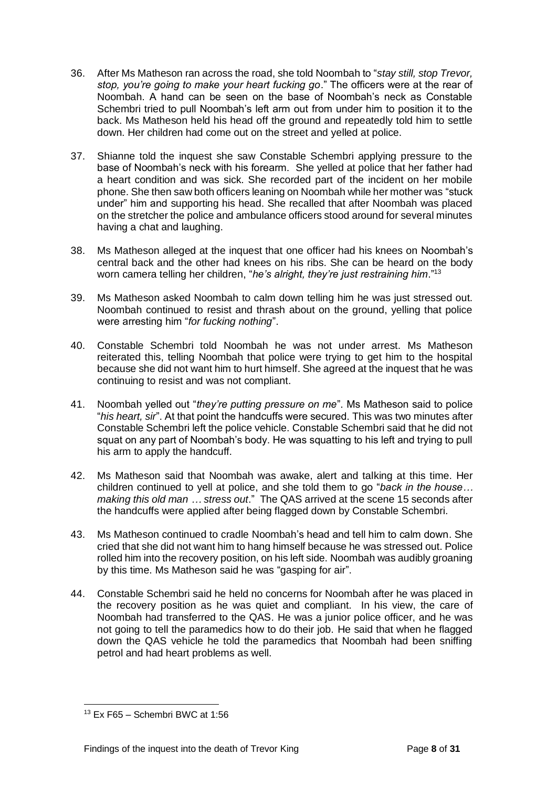- 36. After Ms Matheson ran across the road, she told Noombah to "*stay still, stop Trevor, stop, you're going to make your heart fucking go*." The officers were at the rear of Noombah. A hand can be seen on the base of Noombah's neck as Constable Schembri tried to pull Noombah's left arm out from under him to position it to the back. Ms Matheson held his head off the ground and repeatedly told him to settle down. Her children had come out on the street and yelled at police.
- 37. Shianne told the inquest she saw Constable Schembri applying pressure to the base of Noombah's neck with his forearm. She yelled at police that her father had a heart condition and was sick. She recorded part of the incident on her mobile phone. She then saw both officers leaning on Noombah while her mother was "stuck under" him and supporting his head. She recalled that after Noombah was placed on the stretcher the police and ambulance officers stood around for several minutes having a chat and laughing.
- 38. Ms Matheson alleged at the inquest that one officer had his knees on Noombah's central back and the other had knees on his ribs. She can be heard on the body worn camera telling her children, "*he's alright, they're just restraining him*."<sup>13</sup>
- 39. Ms Matheson asked Noombah to calm down telling him he was just stressed out. Noombah continued to resist and thrash about on the ground, yelling that police were arresting him "*for fucking nothing*".
- 40. Constable Schembri told Noombah he was not under arrest. Ms Matheson reiterated this, telling Noombah that police were trying to get him to the hospital because she did not want him to hurt himself. She agreed at the inquest that he was continuing to resist and was not compliant.
- 41. Noombah yelled out "*they're putting pressure on me*". Ms Matheson said to police "*his heart, sir*". At that point the handcuffs were secured. This was two minutes after Constable Schembri left the police vehicle. Constable Schembri said that he did not squat on any part of Noombah's body. He was squatting to his left and trying to pull his arm to apply the handcuff.
- 42. Ms Matheson said that Noombah was awake, alert and talking at this time. Her children continued to yell at police, and she told them to go "*back in the house… making this old man … stress out*." The QAS arrived at the scene 15 seconds after the handcuffs were applied after being flagged down by Constable Schembri.
- 43. Ms Matheson continued to cradle Noombah's head and tell him to calm down. She cried that she did not want him to hang himself because he was stressed out. Police rolled him into the recovery position, on his left side. Noombah was audibly groaning by this time. Ms Matheson said he was "gasping for air".
- 44. Constable Schembri said he held no concerns for Noombah after he was placed in the recovery position as he was quiet and compliant. In his view, the care of Noombah had transferred to the QAS. He was a junior police officer, and he was not going to tell the paramedics how to do their job. He said that when he flagged down the QAS vehicle he told the paramedics that Noombah had been sniffing petrol and had heart problems as well.

 $13$  Fx F65 – Schembri BWC at 1:56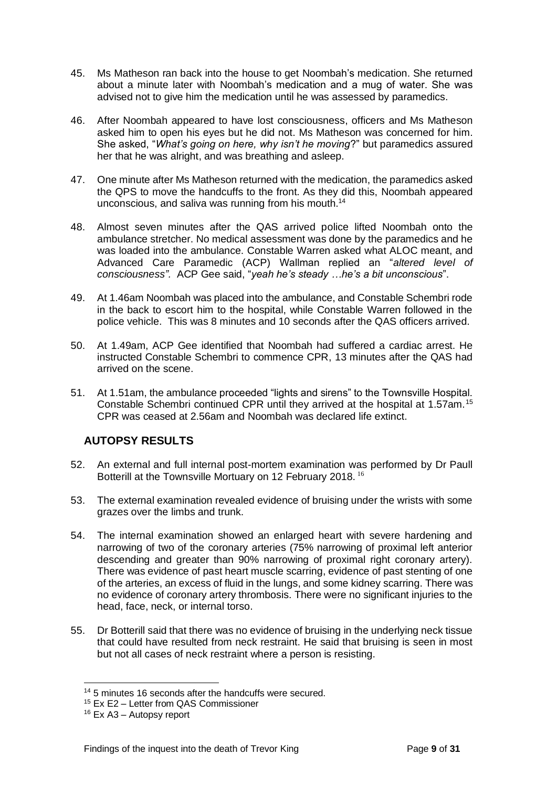- 45. Ms Matheson ran back into the house to get Noombah's medication. She returned about a minute later with Noombah's medication and a mug of water. She was advised not to give him the medication until he was assessed by paramedics.
- 46. After Noombah appeared to have lost consciousness, officers and Ms Matheson asked him to open his eyes but he did not. Ms Matheson was concerned for him. She asked, "*What's going on here, why isn't he moving*?" but paramedics assured her that he was alright, and was breathing and asleep.
- 47. One minute after Ms Matheson returned with the medication, the paramedics asked the QPS to move the handcuffs to the front. As they did this, Noombah appeared unconscious, and saliva was running from his mouth.<sup>14</sup>
- 48. Almost seven minutes after the QAS arrived police lifted Noombah onto the ambulance stretcher. No medical assessment was done by the paramedics and he was loaded into the ambulance. Constable Warren asked what ALOC meant, and Advanced Care Paramedic (ACP) Wallman replied an "*altered level of consciousness".* ACP Gee said, "*yeah he's steady …he's a bit unconscious*".
- 49. At 1.46am Noombah was placed into the ambulance, and Constable Schembri rode in the back to escort him to the hospital, while Constable Warren followed in the police vehicle. This was 8 minutes and 10 seconds after the QAS officers arrived.
- 50. At 1.49am, ACP Gee identified that Noombah had suffered a cardiac arrest. He instructed Constable Schembri to commence CPR, 13 minutes after the QAS had arrived on the scene.
- 51. At 1.51am, the ambulance proceeded "lights and sirens" to the Townsville Hospital. Constable Schembri continued CPR until they arrived at the hospital at 1.57am.<sup>15</sup> CPR was ceased at 2.56am and Noombah was declared life extinct.

# <span id="page-9-0"></span>**AUTOPSY RESULTS**

- 52. An external and full internal post-mortem examination was performed by Dr Paull Botterill at the Townsville Mortuary on 12 February 2018. <sup>16</sup>
- 53. The external examination revealed evidence of bruising under the wrists with some grazes over the limbs and trunk.
- 54. The internal examination showed an enlarged heart with severe hardening and narrowing of two of the coronary arteries (75% narrowing of proximal left anterior descending and greater than 90% narrowing of proximal right coronary artery). There was evidence of past heart muscle scarring, evidence of past stenting of one of the arteries, an excess of fluid in the lungs, and some kidney scarring. There was no evidence of coronary artery thrombosis. There were no significant injuries to the head, face, neck, or internal torso.
- 55. Dr Botterill said that there was no evidence of bruising in the underlying neck tissue that could have resulted from neck restraint. He said that bruising is seen in most but not all cases of neck restraint where a person is resisting.

<sup>14</sup> 5 minutes 16 seconds after the handcuffs were secured.

<sup>15</sup> Ex E2 – Letter from QAS Commissioner

<sup>16</sup> Ex A3 – Autopsy report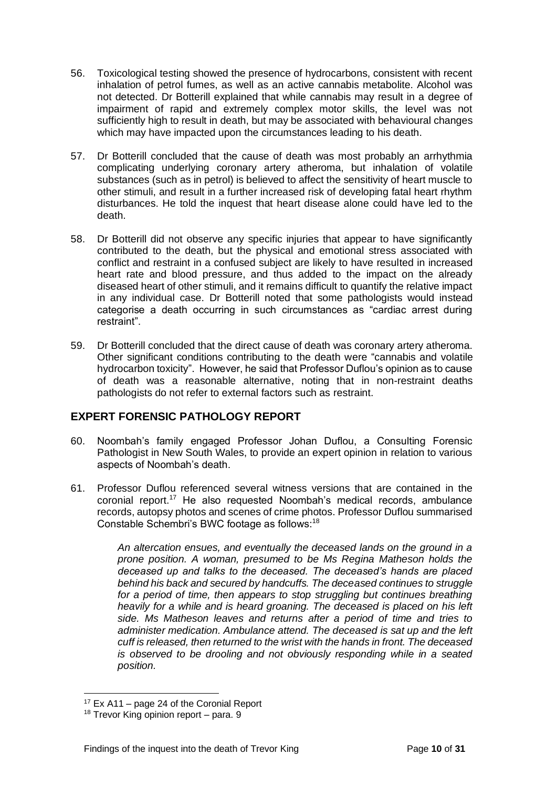- 56. Toxicological testing showed the presence of hydrocarbons, consistent with recent inhalation of petrol fumes, as well as an active cannabis metabolite. Alcohol was not detected. Dr Botterill explained that while cannabis may result in a degree of impairment of rapid and extremely complex motor skills, the level was not sufficiently high to result in death, but may be associated with behavioural changes which may have impacted upon the circumstances leading to his death.
- 57. Dr Botterill concluded that the cause of death was most probably an arrhythmia complicating underlying coronary artery atheroma, but inhalation of volatile substances (such as in petrol) is believed to affect the sensitivity of heart muscle to other stimuli, and result in a further increased risk of developing fatal heart rhythm disturbances. He told the inquest that heart disease alone could have led to the death.
- 58. Dr Botterill did not observe any specific injuries that appear to have significantly contributed to the death, but the physical and emotional stress associated with conflict and restraint in a confused subject are likely to have resulted in increased heart rate and blood pressure, and thus added to the impact on the already diseased heart of other stimuli, and it remains difficult to quantify the relative impact in any individual case. Dr Botterill noted that some pathologists would instead categorise a death occurring in such circumstances as "cardiac arrest during restraint".
- 59. Dr Botterill concluded that the direct cause of death was coronary artery atheroma. Other significant conditions contributing to the death were "cannabis and volatile hydrocarbon toxicity". However, he said that Professor Duflou's opinion as to cause of death was a reasonable alternative, noting that in non-restraint deaths pathologists do not refer to external factors such as restraint.

# **EXPERT FORENSIC PATHOLOGY REPORT**

- 60. Noombah's family engaged Professor Johan Duflou, a Consulting Forensic Pathologist in New South Wales, to provide an expert opinion in relation to various aspects of Noombah's death.
- 61. Professor Duflou referenced several witness versions that are contained in the coronial report.<sup>17</sup> He also requested Noombah's medical records, ambulance records, autopsy photos and scenes of crime photos. Professor Duflou summarised Constable Schembri's BWC footage as follows:<sup>18</sup>

*An altercation ensues, and eventually the deceased lands on the ground in a prone position. A woman, presumed to be Ms Regina Matheson holds the deceased up and talks to the deceased. The deceased's hands are placed behind his back and secured by handcuffs. The deceased continues to struggle*  for a period of time, then appears to stop struggling but continues breathing *heavily for a while and is heard groaning. The deceased is placed on his left side. Ms Matheson leaves and returns after a period of time and tries to administer medication. Ambulance attend. The deceased is sat up and the left cuff is released, then returned to the wrist with the hands in front. The deceased is observed to be drooling and not obviously responding while in a seated position.*

 $17$  Ex A11 – page 24 of the Coronial Report

<sup>&</sup>lt;sup>18</sup> Trevor King opinion report – para. 9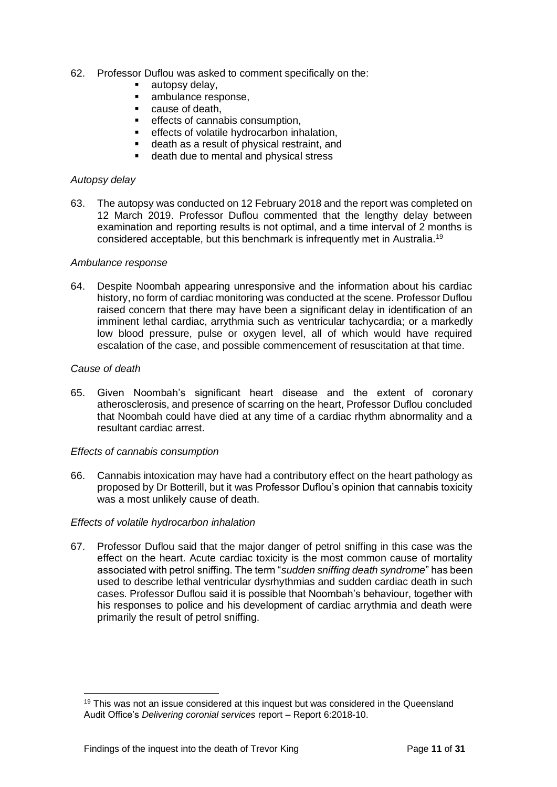- 62. Professor Duflou was asked to comment specifically on the:
	- autopsy delay,
	- ambulance response,
	- $\blacksquare$  cause of death.
	- effects of cannabis consumption,
	- effects of volatile hydrocarbon inhalation,
	- death as a result of physical restraint, and
	- death due to mental and physical stress

#### *Autopsy delay*

63. The autopsy was conducted on 12 February 2018 and the report was completed on 12 March 2019. Professor Duflou commented that the lengthy delay between examination and reporting results is not optimal, and a time interval of 2 months is considered acceptable, but this benchmark is infrequently met in Australia.<sup>19</sup>

#### *Ambulance response*

64. Despite Noombah appearing unresponsive and the information about his cardiac history, no form of cardiac monitoring was conducted at the scene. Professor Duflou raised concern that there may have been a significant delay in identification of an imminent lethal cardiac, arrythmia such as ventricular tachycardia; or a markedly low blood pressure, pulse or oxygen level, all of which would have required escalation of the case, and possible commencement of resuscitation at that time.

#### *Cause of death*

65. Given Noombah's significant heart disease and the extent of coronary atherosclerosis, and presence of scarring on the heart, Professor Duflou concluded that Noombah could have died at any time of a cardiac rhythm abnormality and a resultant cardiac arrest.

#### *Effects of cannabis consumption*

66. Cannabis intoxication may have had a contributory effect on the heart pathology as proposed by Dr Botterill, but it was Professor Duflou's opinion that cannabis toxicity was a most unlikely cause of death.

#### *Effects of volatile hydrocarbon inhalation*

67. Professor Duflou said that the major danger of petrol sniffing in this case was the effect on the heart. Acute cardiac toxicity is the most common cause of mortality associated with petrol sniffing. The term "*sudden sniffing death syndrome*" has been used to describe lethal ventricular dysrhythmias and sudden cardiac death in such cases. Professor Duflou said it is possible that Noombah's behaviour, together with his responses to police and his development of cardiac arrythmia and death were primarily the result of petrol sniffing.

<sup>&</sup>lt;sup>19</sup> This was not an issue considered at this inquest but was considered in the Queensland Audit Office's *Delivering coronial services* report – Report 6:2018-10.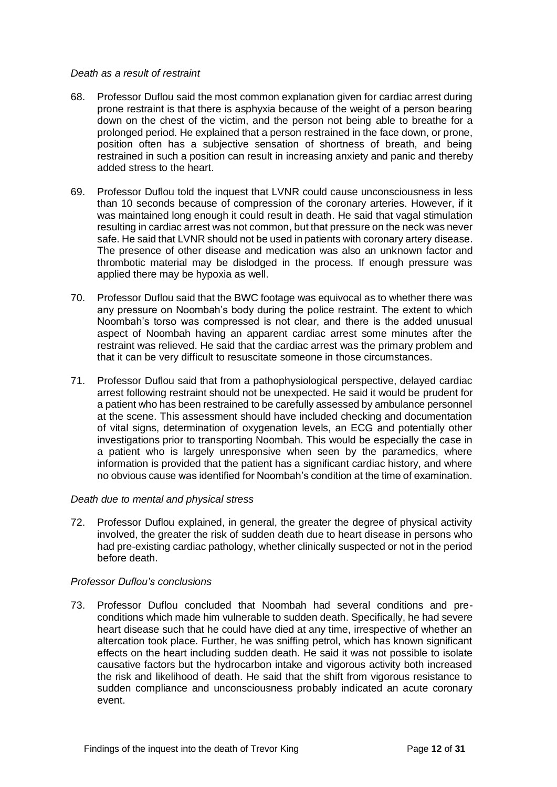#### *Death as a result of restraint*

- 68. Professor Duflou said the most common explanation given for cardiac arrest during prone restraint is that there is asphyxia because of the weight of a person bearing down on the chest of the victim, and the person not being able to breathe for a prolonged period. He explained that a person restrained in the face down, or prone, position often has a subjective sensation of shortness of breath, and being restrained in such a position can result in increasing anxiety and panic and thereby added stress to the heart.
- 69. Professor Duflou told the inquest that LVNR could cause unconsciousness in less than 10 seconds because of compression of the coronary arteries. However, if it was maintained long enough it could result in death. He said that vagal stimulation resulting in cardiac arrest was not common, but that pressure on the neck was never safe. He said that LVNR should not be used in patients with coronary artery disease. The presence of other disease and medication was also an unknown factor and thrombotic material may be dislodged in the process. If enough pressure was applied there may be hypoxia as well.
- 70. Professor Duflou said that the BWC footage was equivocal as to whether there was any pressure on Noombah's body during the police restraint. The extent to which Noombah's torso was compressed is not clear, and there is the added unusual aspect of Noombah having an apparent cardiac arrest some minutes after the restraint was relieved. He said that the cardiac arrest was the primary problem and that it can be very difficult to resuscitate someone in those circumstances.
- 71. Professor Duflou said that from a pathophysiological perspective, delayed cardiac arrest following restraint should not be unexpected. He said it would be prudent for a patient who has been restrained to be carefully assessed by ambulance personnel at the scene. This assessment should have included checking and documentation of vital signs, determination of oxygenation levels, an ECG and potentially other investigations prior to transporting Noombah. This would be especially the case in a patient who is largely unresponsive when seen by the paramedics, where information is provided that the patient has a significant cardiac history, and where no obvious cause was identified for Noombah's condition at the time of examination.

#### *Death due to mental and physical stress*

72. Professor Duflou explained, in general, the greater the degree of physical activity involved, the greater the risk of sudden death due to heart disease in persons who had pre-existing cardiac pathology, whether clinically suspected or not in the period before death.

#### *Professor Duflou's conclusions*

73. Professor Duflou concluded that Noombah had several conditions and preconditions which made him vulnerable to sudden death. Specifically, he had severe heart disease such that he could have died at any time, irrespective of whether an altercation took place. Further, he was sniffing petrol, which has known significant effects on the heart including sudden death. He said it was not possible to isolate causative factors but the hydrocarbon intake and vigorous activity both increased the risk and likelihood of death. He said that the shift from vigorous resistance to sudden compliance and unconsciousness probably indicated an acute coronary event.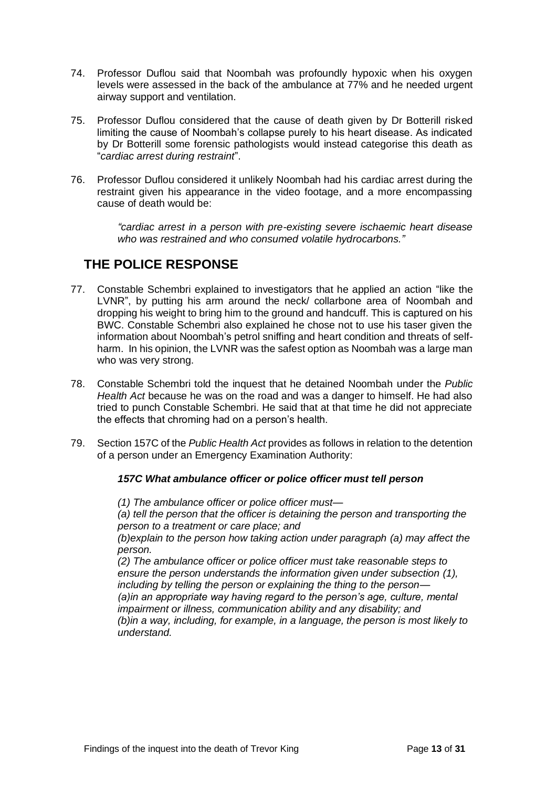- 74. Professor Duflou said that Noombah was profoundly hypoxic when his oxygen levels were assessed in the back of the ambulance at 77% and he needed urgent airway support and ventilation.
- 75. Professor Duflou considered that the cause of death given by Dr Botterill risked limiting the cause of Noombah's collapse purely to his heart disease. As indicated by Dr Botterill some forensic pathologists would instead categorise this death as "*cardiac arrest during restraint*".
- 76. Professor Duflou considered it unlikely Noombah had his cardiac arrest during the restraint given his appearance in the video footage, and a more encompassing cause of death would be:

*"cardiac arrest in a person with pre-existing severe ischaemic heart disease who was restrained and who consumed volatile hydrocarbons."*

# **THE POLICE RESPONSE**

- 77. Constable Schembri explained to investigators that he applied an action "like the LVNR", by putting his arm around the neck/ collarbone area of Noombah and dropping his weight to bring him to the ground and handcuff. This is captured on his BWC. Constable Schembri also explained he chose not to use his taser given the information about Noombah's petrol sniffing and heart condition and threats of selfharm. In his opinion, the LVNR was the safest option as Noombah was a large man who was very strong.
- 78. Constable Schembri told the inquest that he detained Noombah under the *Public Health Act* because he was on the road and was a danger to himself. He had also tried to punch Constable Schembri. He said that at that time he did not appreciate the effects that chroming had on a person's health.
- 79. Section 157C of the *Public Health Act* provides as follows in relation to the detention of a person under an Emergency Examination Authority:

## *157C What ambulance officer or police officer must tell person*

*(1) The ambulance officer or police officer must—*

*(a) tell the person that the officer is detaining the person and transporting the person to a treatment or care place; and*

*(b)explain to the person how taking action under paragraph (a) may affect the person.*

*(2) The ambulance officer or police officer must take reasonable steps to ensure the person understands the information given under subsection (1), including by telling the person or explaining the thing to the person— (a)in an appropriate way having regard to the person's age, culture, mental impairment or illness, communication ability and any disability; and (b)in a way, including, for example, in a language, the person is most likely to understand.*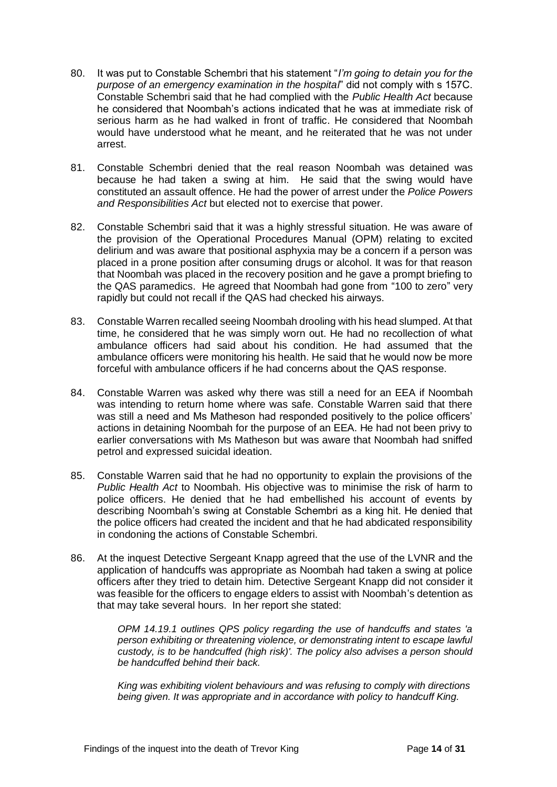- 80. It was put to Constable Schembri that his statement "*I'm going to detain you for the purpose of an emergency examination in the hospital*" did not comply with s 157C. Constable Schembri said that he had complied with the *Public Health Act* because he considered that Noombah's actions indicated that he was at immediate risk of serious harm as he had walked in front of traffic. He considered that Noombah would have understood what he meant, and he reiterated that he was not under arrest.
- 81. Constable Schembri denied that the real reason Noombah was detained was because he had taken a swing at him. He said that the swing would have constituted an assault offence. He had the power of arrest under the *Police Powers and Responsibilities Act* but elected not to exercise that power.
- 82. Constable Schembri said that it was a highly stressful situation. He was aware of the provision of the Operational Procedures Manual (OPM) relating to excited delirium and was aware that positional asphyxia may be a concern if a person was placed in a prone position after consuming drugs or alcohol. It was for that reason that Noombah was placed in the recovery position and he gave a prompt briefing to the QAS paramedics. He agreed that Noombah had gone from "100 to zero" very rapidly but could not recall if the QAS had checked his airways.
- 83. Constable Warren recalled seeing Noombah drooling with his head slumped. At that time, he considered that he was simply worn out. He had no recollection of what ambulance officers had said about his condition. He had assumed that the ambulance officers were monitoring his health. He said that he would now be more forceful with ambulance officers if he had concerns about the QAS response.
- 84. Constable Warren was asked why there was still a need for an EEA if Noombah was intending to return home where was safe. Constable Warren said that there was still a need and Ms Matheson had responded positively to the police officers' actions in detaining Noombah for the purpose of an EEA. He had not been privy to earlier conversations with Ms Matheson but was aware that Noombah had sniffed petrol and expressed suicidal ideation.
- 85. Constable Warren said that he had no opportunity to explain the provisions of the *Public Health Act* to Noombah. His objective was to minimise the risk of harm to police officers. He denied that he had embellished his account of events by describing Noombah's swing at Constable Schembri as a king hit. He denied that the police officers had created the incident and that he had abdicated responsibility in condoning the actions of Constable Schembri.
- 86. At the inquest Detective Sergeant Knapp agreed that the use of the LVNR and the application of handcuffs was appropriate as Noombah had taken a swing at police officers after they tried to detain him. Detective Sergeant Knapp did not consider it was feasible for the officers to engage elders to assist with Noombah's detention as that may take several hours. In her report she stated:

*OPM 14.19.1 outlines QPS policy regarding the use of handcuffs and states 'a person exhibiting or threatening violence, or demonstrating intent to escape lawful custody, is to be handcuffed (high risk)'. The policy also advises a person should be handcuffed behind their back.*

*King was exhibiting violent behaviours and was refusing to comply with directions being given. It was appropriate and in accordance with policy to handcuff King.*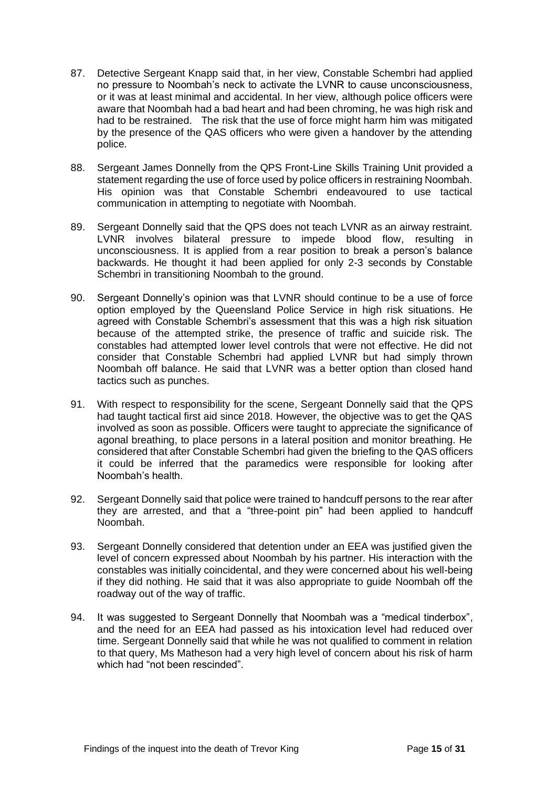- 87. Detective Sergeant Knapp said that, in her view, Constable Schembri had applied no pressure to Noombah's neck to activate the LVNR to cause unconsciousness, or it was at least minimal and accidental. In her view, although police officers were aware that Noombah had a bad heart and had been chroming, he was high risk and had to be restrained. The risk that the use of force might harm him was mitigated by the presence of the QAS officers who were given a handover by the attending police.
- 88. Sergeant James Donnelly from the QPS Front-Line Skills Training Unit provided a statement regarding the use of force used by police officers in restraining Noombah. His opinion was that Constable Schembri endeavoured to use tactical communication in attempting to negotiate with Noombah.
- 89. Sergeant Donnelly said that the QPS does not teach LVNR as an airway restraint. LVNR involves bilateral pressure to impede blood flow, resulting in unconsciousness. It is applied from a rear position to break a person's balance backwards. He thought it had been applied for only 2-3 seconds by Constable Schembri in transitioning Noombah to the ground.
- 90. Sergeant Donnelly's opinion was that LVNR should continue to be a use of force option employed by the Queensland Police Service in high risk situations. He agreed with Constable Schembri's assessment that this was a high risk situation because of the attempted strike, the presence of traffic and suicide risk. The constables had attempted lower level controls that were not effective. He did not consider that Constable Schembri had applied LVNR but had simply thrown Noombah off balance. He said that LVNR was a better option than closed hand tactics such as punches.
- 91. With respect to responsibility for the scene, Sergeant Donnelly said that the QPS had taught tactical first aid since 2018. However, the objective was to get the QAS involved as soon as possible. Officers were taught to appreciate the significance of agonal breathing, to place persons in a lateral position and monitor breathing. He considered that after Constable Schembri had given the briefing to the QAS officers it could be inferred that the paramedics were responsible for looking after Noombah's health.
- 92. Sergeant Donnelly said that police were trained to handcuff persons to the rear after they are arrested, and that a "three-point pin" had been applied to handcuff Noombah.
- 93. Sergeant Donnelly considered that detention under an EEA was justified given the level of concern expressed about Noombah by his partner. His interaction with the constables was initially coincidental, and they were concerned about his well-being if they did nothing. He said that it was also appropriate to guide Noombah off the roadway out of the way of traffic.
- 94. It was suggested to Sergeant Donnelly that Noombah was a "medical tinderbox", and the need for an EEA had passed as his intoxication level had reduced over time. Sergeant Donnelly said that while he was not qualified to comment in relation to that query, Ms Matheson had a very high level of concern about his risk of harm which had "not been rescinded".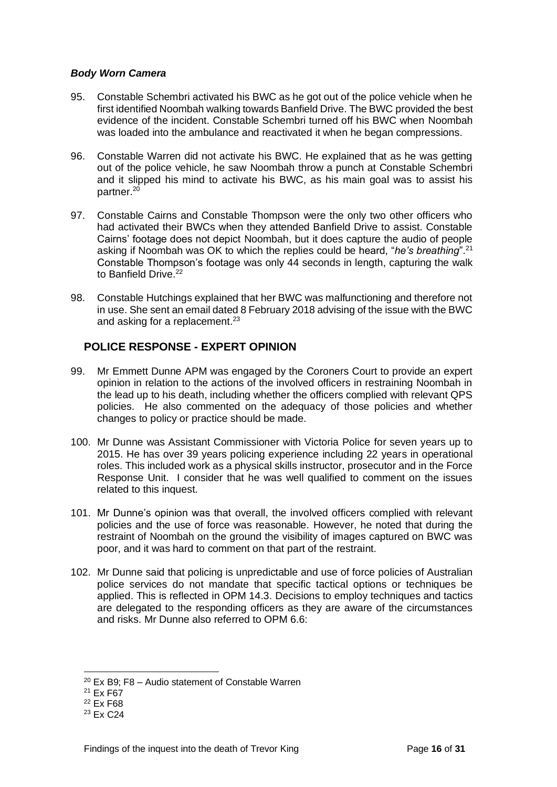#### *Body Worn Camera*

- 95. Constable Schembri activated his BWC as he got out of the police vehicle when he first identified Noombah walking towards Banfield Drive. The BWC provided the best evidence of the incident. Constable Schembri turned off his BWC when Noombah was loaded into the ambulance and reactivated it when he began compressions.
- 96. Constable Warren did not activate his BWC. He explained that as he was getting out of the police vehicle, he saw Noombah throw a punch at Constable Schembri and it slipped his mind to activate his BWC, as his main goal was to assist his partner.<sup>20</sup>
- 97. Constable Cairns and Constable Thompson were the only two other officers who had activated their BWCs when they attended Banfield Drive to assist. Constable Cairns' footage does not depict Noombah, but it does capture the audio of people asking if Noombah was OK to which the replies could be heard, "*he's breathing*".<sup>21</sup> Constable Thompson's footage was only 44 seconds in length, capturing the walk to Banfield Drive.<sup>22</sup>
- 98. Constable Hutchings explained that her BWC was malfunctioning and therefore not in use. She sent an email dated 8 February 2018 advising of the issue with the BWC and asking for a replacement.<sup>23</sup>

## **POLICE RESPONSE - EXPERT OPINION**

- 99. Mr Emmett Dunne APM was engaged by the Coroners Court to provide an expert opinion in relation to the actions of the involved officers in restraining Noombah in the lead up to his death, including whether the officers complied with relevant QPS policies. He also commented on the adequacy of those policies and whether changes to policy or practice should be made.
- 100. Mr Dunne was Assistant Commissioner with Victoria Police for seven years up to 2015. He has over 39 years policing experience including 22 years in operational roles. This included work as a physical skills instructor, prosecutor and in the Force Response Unit. I consider that he was well qualified to comment on the issues related to this inquest.
- 101. Mr Dunne's opinion was that overall, the involved officers complied with relevant policies and the use of force was reasonable. However, he noted that during the restraint of Noombah on the ground the visibility of images captured on BWC was poor, and it was hard to comment on that part of the restraint.
- 102. Mr Dunne said that policing is unpredictable and use of force policies of Australian police services do not mandate that specific tactical options or techniques be applied. This is reflected in OPM 14.3. Decisions to employ techniques and tactics are delegated to the responding officers as they are aware of the circumstances and risks. Mr Dunne also referred to OPM 6.6:

 $20$  Ex B9: F8 – Audio statement of Constable Warren

<sup>21</sup> Ex F67

<sup>22</sup> Ex F68

<sup>23</sup> Ex C24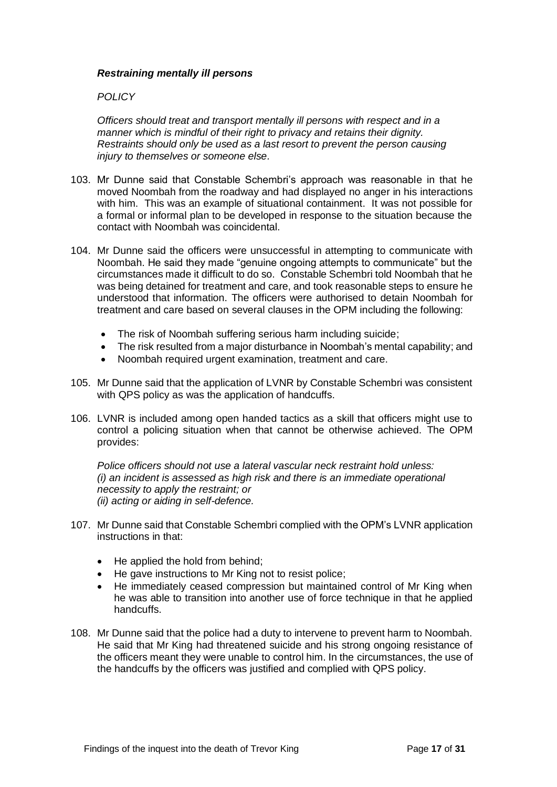#### *Restraining mentally ill persons*

#### *POLICY*

*Officers should treat and transport mentally ill persons with respect and in a manner which is mindful of their right to privacy and retains their dignity. Restraints should only be used as a last resort to prevent the person causing injury to themselves or someone else.*

- 103. Mr Dunne said that Constable Schembri's approach was reasonable in that he moved Noombah from the roadway and had displayed no anger in his interactions with him. This was an example of situational containment. It was not possible for a formal or informal plan to be developed in response to the situation because the contact with Noombah was coincidental.
- 104. Mr Dunne said the officers were unsuccessful in attempting to communicate with Noombah. He said they made "genuine ongoing attempts to communicate" but the circumstances made it difficult to do so. Constable Schembri told Noombah that he was being detained for treatment and care, and took reasonable steps to ensure he understood that information. The officers were authorised to detain Noombah for treatment and care based on several clauses in the OPM including the following:
	- The risk of Noombah suffering serious harm including suicide;
	- The risk resulted from a major disturbance in Noombah's mental capability; and
	- Noombah required urgent examination, treatment and care.
- 105. Mr Dunne said that the application of LVNR by Constable Schembri was consistent with QPS policy as was the application of handcuffs.
- 106. LVNR is included among open handed tactics as a skill that officers might use to control a policing situation when that cannot be otherwise achieved. The OPM provides:

*Police officers should not use a lateral vascular neck restraint hold unless: (i) an incident is assessed as high risk and there is an immediate operational necessity to apply the restraint; or (ii) acting or aiding in self-defence.*

- 107. Mr Dunne said that Constable Schembri complied with the OPM's LVNR application instructions in that:
	- He applied the hold from behind;
	- He gave instructions to Mr King not to resist police;
	- He immediately ceased compression but maintained control of Mr King when he was able to transition into another use of force technique in that he applied handcuffs.
- 108. Mr Dunne said that the police had a duty to intervene to prevent harm to Noombah. He said that Mr King had threatened suicide and his strong ongoing resistance of the officers meant they were unable to control him. In the circumstances, the use of the handcuffs by the officers was justified and complied with QPS policy.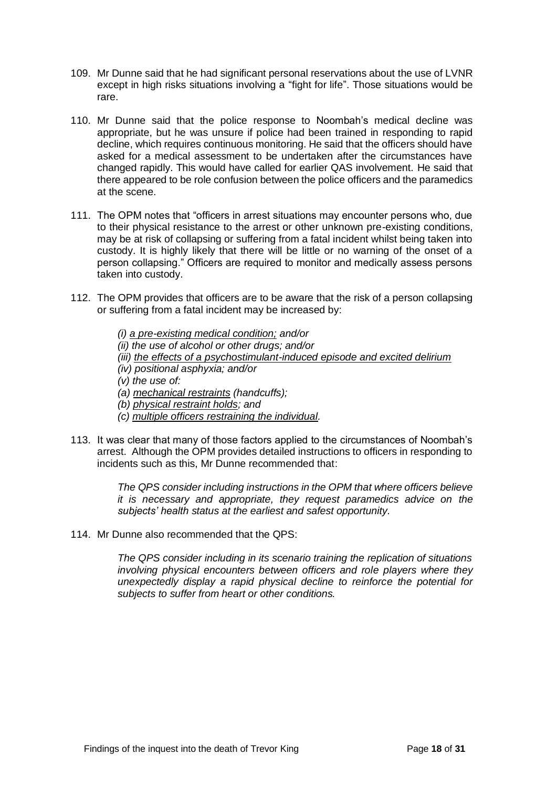- 109. Mr Dunne said that he had significant personal reservations about the use of LVNR except in high risks situations involving a "fight for life". Those situations would be rare.
- 110. Mr Dunne said that the police response to Noombah's medical decline was appropriate, but he was unsure if police had been trained in responding to rapid decline, which requires continuous monitoring. He said that the officers should have asked for a medical assessment to be undertaken after the circumstances have changed rapidly. This would have called for earlier QAS involvement. He said that there appeared to be role confusion between the police officers and the paramedics at the scene.
- 111. The OPM notes that "officers in arrest situations may encounter persons who, due to their physical resistance to the arrest or other unknown pre-existing conditions, may be at risk of collapsing or suffering from a fatal incident whilst being taken into custody. It is highly likely that there will be little or no warning of the onset of a person collapsing." Officers are required to monitor and medically assess persons taken into custody.
- 112. The OPM provides that officers are to be aware that the risk of a person collapsing or suffering from a fatal incident may be increased by:
	- *(i) a pre-existing medical condition; and/or (ii) the use of alcohol or other drugs; and/or (iii) the effects of a psychostimulant-induced episode and excited delirium (iv) positional asphyxia; and/or (v) the use of: (a) mechanical restraints (handcuffs); (b) physical restraint holds; and (c) multiple officers restraining the individual.*
- 113. It was clear that many of those factors applied to the circumstances of Noombah's arrest. Although the OPM provides detailed instructions to officers in responding to incidents such as this, Mr Dunne recommended that:

*The QPS consider including instructions in the OPM that where officers believe it is necessary and appropriate, they request paramedics advice on the subjects' health status at the earliest and safest opportunity.*

114. Mr Dunne also recommended that the QPS:

*The QPS consider including in its scenario training the replication of situations involving physical encounters between officers and role players where they unexpectedly display a rapid physical decline to reinforce the potential for subjects to suffer from heart or other conditions.*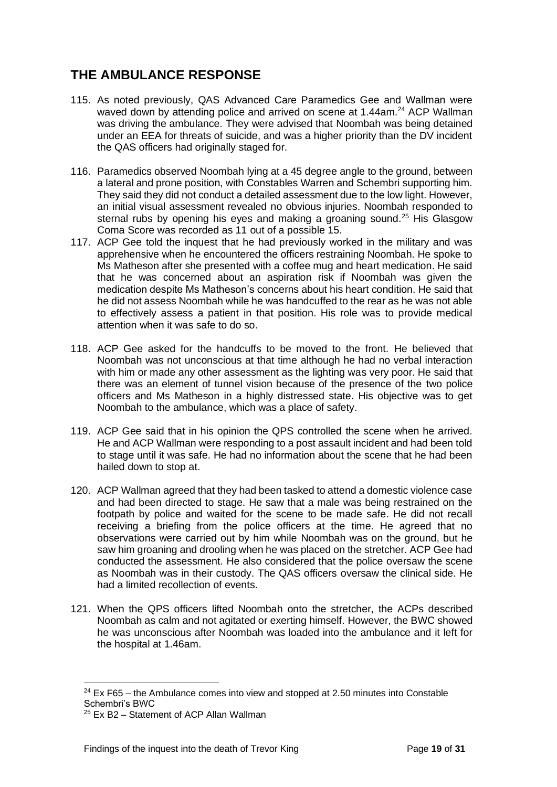# **THE AMBULANCE RESPONSE**

- 115. As noted previously, QAS Advanced Care Paramedics Gee and Wallman were waved down by attending police and arrived on scene at 1.44am.<sup>24</sup> ACP Wallman was driving the ambulance. They were advised that Noombah was being detained under an EEA for threats of suicide, and was a higher priority than the DV incident the QAS officers had originally staged for.
- 116. Paramedics observed Noombah lying at a 45 degree angle to the ground, between a lateral and prone position, with Constables Warren and Schembri supporting him. They said they did not conduct a detailed assessment due to the low light. However, an initial visual assessment revealed no obvious injuries. Noombah responded to sternal rubs by opening his eyes and making a groaning sound.<sup>25</sup> His Glasgow Coma Score was recorded as 11 out of a possible 15.
- 117. ACP Gee told the inquest that he had previously worked in the military and was apprehensive when he encountered the officers restraining Noombah. He spoke to Ms Matheson after she presented with a coffee mug and heart medication. He said that he was concerned about an aspiration risk if Noombah was given the medication despite Ms Matheson's concerns about his heart condition. He said that he did not assess Noombah while he was handcuffed to the rear as he was not able to effectively assess a patient in that position. His role was to provide medical attention when it was safe to do so.
- 118. ACP Gee asked for the handcuffs to be moved to the front. He believed that Noombah was not unconscious at that time although he had no verbal interaction with him or made any other assessment as the lighting was very poor. He said that there was an element of tunnel vision because of the presence of the two police officers and Ms Matheson in a highly distressed state. His objective was to get Noombah to the ambulance, which was a place of safety.
- 119. ACP Gee said that in his opinion the QPS controlled the scene when he arrived. He and ACP Wallman were responding to a post assault incident and had been told to stage until it was safe. He had no information about the scene that he had been hailed down to stop at.
- 120. ACP Wallman agreed that they had been tasked to attend a domestic violence case and had been directed to stage. He saw that a male was being restrained on the footpath by police and waited for the scene to be made safe. He did not recall receiving a briefing from the police officers at the time. He agreed that no observations were carried out by him while Noombah was on the ground, but he saw him groaning and drooling when he was placed on the stretcher. ACP Gee had conducted the assessment. He also considered that the police oversaw the scene as Noombah was in their custody. The QAS officers oversaw the clinical side. He had a limited recollection of events.
- 121. When the QPS officers lifted Noombah onto the stretcher, the ACPs described Noombah as calm and not agitated or exerting himself. However, the BWC showed he was unconscious after Noombah was loaded into the ambulance and it left for the hospital at 1.46am.

 $24$  Ex F65 – the Ambulance comes into view and stopped at 2.50 minutes into Constable Schembri's BWC

<sup>25</sup> Ex B2 – Statement of ACP Allan Wallman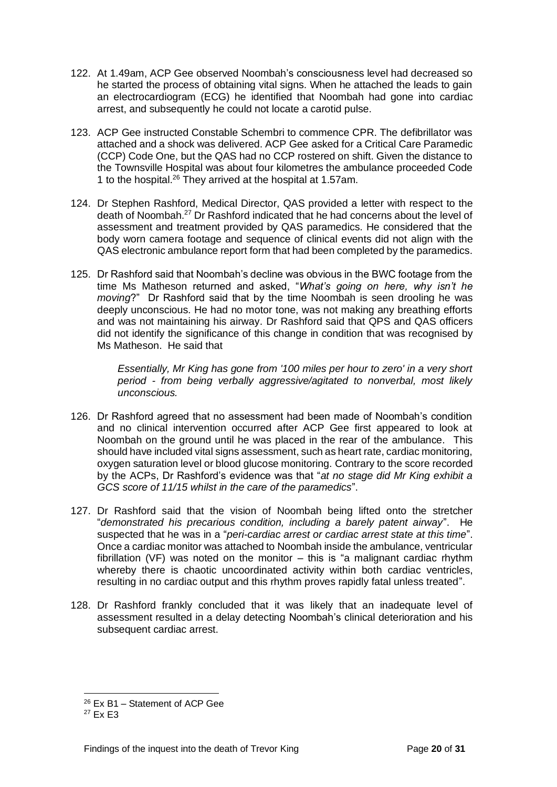- 122. At 1.49am, ACP Gee observed Noombah's consciousness level had decreased so he started the process of obtaining vital signs. When he attached the leads to gain an electrocardiogram (ECG) he identified that Noombah had gone into cardiac arrest, and subsequently he could not locate a carotid pulse.
- 123. ACP Gee instructed Constable Schembri to commence CPR. The defibrillator was attached and a shock was delivered. ACP Gee asked for a Critical Care Paramedic (CCP) Code One, but the QAS had no CCP rostered on shift. Given the distance to the Townsville Hospital was about four kilometres the ambulance proceeded Code 1 to the hospital.<sup>26</sup> They arrived at the hospital at 1.57am.
- 124. Dr Stephen Rashford, Medical Director, QAS provided a letter with respect to the death of Noombah.<sup>27</sup> Dr Rashford indicated that he had concerns about the level of assessment and treatment provided by QAS paramedics. He considered that the body worn camera footage and sequence of clinical events did not align with the QAS electronic ambulance report form that had been completed by the paramedics.
- 125. Dr Rashford said that Noombah's decline was obvious in the BWC footage from the time Ms Matheson returned and asked, "*What's going on here, why isn't he moving*?" Dr Rashford said that by the time Noombah is seen drooling he was deeply unconscious. He had no motor tone, was not making any breathing efforts and was not maintaining his airway. Dr Rashford said that QPS and QAS officers did not identify the significance of this change in condition that was recognised by Ms Matheson. He said that

*Essentially, Mr King has gone from '100 miles per hour to zero' in a very short period - from being verbally aggressive/agitated to nonverbal, most likely unconscious.*

- 126. Dr Rashford agreed that no assessment had been made of Noombah's condition and no clinical intervention occurred after ACP Gee first appeared to look at Noombah on the ground until he was placed in the rear of the ambulance. This should have included vital signs assessment, such as heart rate, cardiac monitoring, oxygen saturation level or blood glucose monitoring. Contrary to the score recorded by the ACPs, Dr Rashford's evidence was that "*at no stage did Mr King exhibit a GCS score of 11/15 whilst in the care of the paramedics*".
- 127. Dr Rashford said that the vision of Noombah being lifted onto the stretcher "*demonstrated his precarious condition, including a barely patent airway*". He suspected that he was in a "*peri-cardiac arrest or cardiac arrest state at this time*". Once a cardiac monitor was attached to Noombah inside the ambulance, ventricular fibrillation (VF) was noted on the monitor – this is "a malignant cardiac rhythm whereby there is chaotic uncoordinated activity within both cardiac ventricles, resulting in no cardiac output and this rhythm proves rapidly fatal unless treated".
- 128. Dr Rashford frankly concluded that it was likely that an inadequate level of assessment resulted in a delay detecting Noombah's clinical deterioration and his subsequent cardiac arrest.

<sup>26</sup> Ex B1 – Statement of ACP Gee

 $27$  Fx F3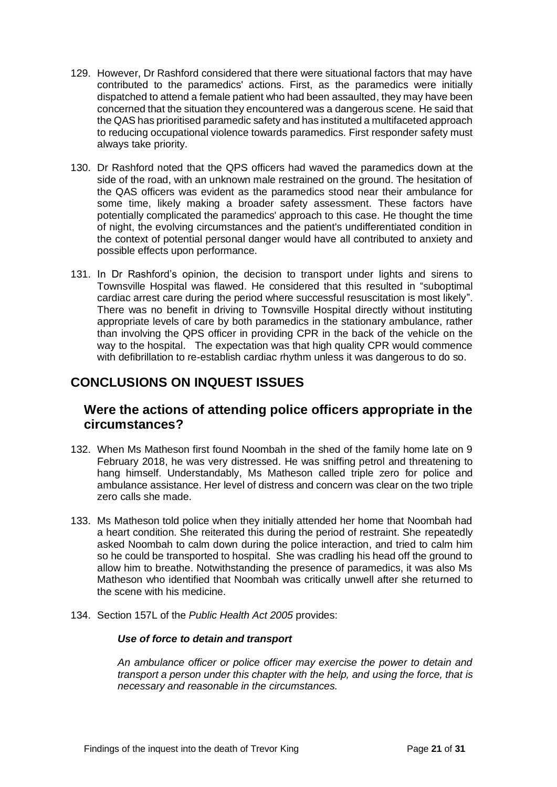- 129. However, Dr Rashford considered that there were situational factors that may have contributed to the paramedics' actions. First, as the paramedics were initially dispatched to attend a female patient who had been assaulted, they may have been concerned that the situation they encountered was a dangerous scene. He said that the QAS has prioritised paramedic safety and has instituted a multifaceted approach to reducing occupational violence towards paramedics. First responder safety must always take priority.
- 130. Dr Rashford noted that the QPS officers had waved the paramedics down at the side of the road, with an unknown male restrained on the ground. The hesitation of the QAS officers was evident as the paramedics stood near their ambulance for some time, likely making a broader safety assessment. These factors have potentially complicated the paramedics' approach to this case. He thought the time of night, the evolving circumstances and the patient's undifferentiated condition in the context of potential personal danger would have all contributed to anxiety and possible effects upon performance.
- 131. In Dr Rashford's opinion, the decision to transport under lights and sirens to Townsville Hospital was flawed. He considered that this resulted in "suboptimal cardiac arrest care during the period where successful resuscitation is most likely". There was no benefit in driving to Townsville Hospital directly without instituting appropriate levels of care by both paramedics in the stationary ambulance, rather than involving the QPS officer in providing CPR in the back of the vehicle on the way to the hospital. The expectation was that high quality CPR would commence with defibrillation to re-establish cardiac rhythm unless it was dangerous to do so.

# **CONCLUSIONS ON INQUEST ISSUES**

# **Were the actions of attending police officers appropriate in the circumstances?**

- 132. When Ms Matheson first found Noombah in the shed of the family home late on 9 February 2018, he was very distressed. He was sniffing petrol and threatening to hang himself. Understandably, Ms Matheson called triple zero for police and ambulance assistance. Her level of distress and concern was clear on the two triple zero calls she made.
- 133. Ms Matheson told police when they initially attended her home that Noombah had a heart condition. She reiterated this during the period of restraint. She repeatedly asked Noombah to calm down during the police interaction, and tried to calm him so he could be transported to hospital. She was cradling his head off the ground to allow him to breathe. Notwithstanding the presence of paramedics, it was also Ms Matheson who identified that Noombah was critically unwell after she returned to the scene with his medicine.
- 134. Section 157L of the *Public Health Act 2005* provides:

#### *Use of force to detain and transport*

*An ambulance officer or police officer may exercise the power to detain and transport a person under this chapter with the help, and using the force, that is necessary and reasonable in the circumstances.*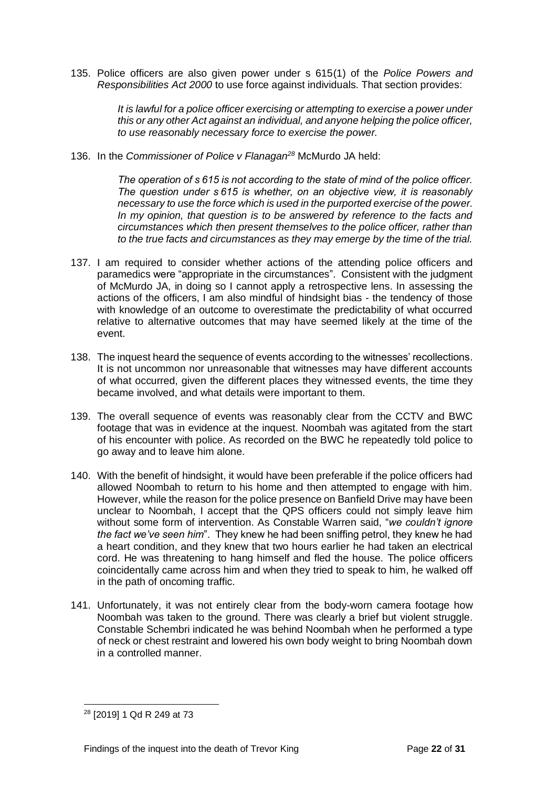135. Police officers are also given power under s 615(1) of the *Police Powers and Responsibilities Act 2000* to use force against individuals. That section provides:

> *It is lawful for a police officer exercising or attempting to exercise a power under this or any other Act against an individual, and anyone helping the police officer, to use reasonably necessary force to exercise the power.*

136. In the *Commissioner of Police v Flanagan<sup>28</sup>* McMurdo JA held:

*The operation of s 615 is not according to the state of mind of the police officer. The question under s 615 is whether, on an objective view, it is reasonably necessary to use the force which is used in the purported exercise of the power. In my opinion, that question is to be answered by reference to the facts and circumstances which then present themselves to the police officer, rather than to the true facts and circumstances as they may emerge by the time of the trial.*

- 137. I am required to consider whether actions of the attending police officers and paramedics were "appropriate in the circumstances". Consistent with the judgment of McMurdo JA, in doing so I cannot apply a retrospective lens. In assessing the actions of the officers, I am also mindful of hindsight bias - the tendency of those with knowledge of an outcome to overestimate the predictability of what occurred relative to alternative outcomes that may have seemed likely at the time of the event.
- 138. The inquest heard the sequence of events according to the witnesses' recollections. It is not uncommon nor unreasonable that witnesses may have different accounts of what occurred, given the different places they witnessed events, the time they became involved, and what details were important to them.
- 139. The overall sequence of events was reasonably clear from the CCTV and BWC footage that was in evidence at the inquest. Noombah was agitated from the start of his encounter with police. As recorded on the BWC he repeatedly told police to go away and to leave him alone.
- 140. With the benefit of hindsight, it would have been preferable if the police officers had allowed Noombah to return to his home and then attempted to engage with him. However, while the reason for the police presence on Banfield Drive may have been unclear to Noombah, I accept that the QPS officers could not simply leave him without some form of intervention. As Constable Warren said, "*we couldn't ignore the fact we've seen him*". They knew he had been sniffing petrol, they knew he had a heart condition, and they knew that two hours earlier he had taken an electrical cord. He was threatening to hang himself and fled the house. The police officers coincidentally came across him and when they tried to speak to him, he walked off in the path of oncoming traffic.
- 141. Unfortunately, it was not entirely clear from the body-worn camera footage how Noombah was taken to the ground. There was clearly a brief but violent struggle. Constable Schembri indicated he was behind Noombah when he performed a type of neck or chest restraint and lowered his own body weight to bring Noombah down in a controlled manner.

<sup>28</sup> [2019] 1 Qd R 249 at 73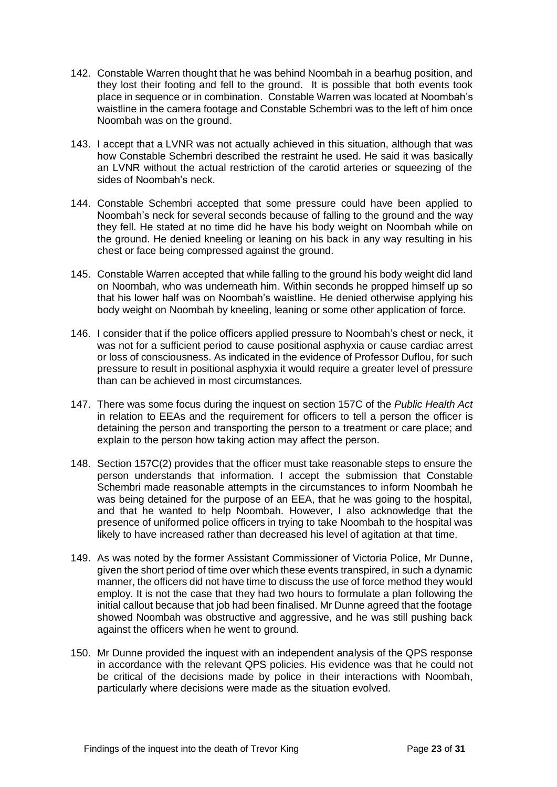- 142. Constable Warren thought that he was behind Noombah in a bearhug position, and they lost their footing and fell to the ground. It is possible that both events took place in sequence or in combination. Constable Warren was located at Noombah's waistline in the camera footage and Constable Schembri was to the left of him once Noombah was on the ground.
- 143. I accept that a LVNR was not actually achieved in this situation, although that was how Constable Schembri described the restraint he used. He said it was basically an LVNR without the actual restriction of the carotid arteries or squeezing of the sides of Noombah's neck.
- 144. Constable Schembri accepted that some pressure could have been applied to Noombah's neck for several seconds because of falling to the ground and the way they fell. He stated at no time did he have his body weight on Noombah while on the ground. He denied kneeling or leaning on his back in any way resulting in his chest or face being compressed against the ground.
- 145. Constable Warren accepted that while falling to the ground his body weight did land on Noombah, who was underneath him. Within seconds he propped himself up so that his lower half was on Noombah's waistline. He denied otherwise applying his body weight on Noombah by kneeling, leaning or some other application of force.
- 146. I consider that if the police officers applied pressure to Noombah's chest or neck, it was not for a sufficient period to cause positional asphyxia or cause cardiac arrest or loss of consciousness. As indicated in the evidence of Professor Duflou, for such pressure to result in positional asphyxia it would require a greater level of pressure than can be achieved in most circumstances.
- 147. There was some focus during the inquest on section 157C of the *Public Health Act* in relation to EEAs and the requirement for officers to tell a person the officer is detaining the person and transporting the person to a treatment or care place; and explain to the person how taking action may affect the person.
- 148. Section 157C(2) provides that the officer must take reasonable steps to ensure the person understands that information. I accept the submission that Constable Schembri made reasonable attempts in the circumstances to inform Noombah he was being detained for the purpose of an EEA, that he was going to the hospital, and that he wanted to help Noombah. However, I also acknowledge that the presence of uniformed police officers in trying to take Noombah to the hospital was likely to have increased rather than decreased his level of agitation at that time.
- 149. As was noted by the former Assistant Commissioner of Victoria Police, Mr Dunne, given the short period of time over which these events transpired, in such a dynamic manner, the officers did not have time to discuss the use of force method they would employ. It is not the case that they had two hours to formulate a plan following the initial callout because that job had been finalised. Mr Dunne agreed that the footage showed Noombah was obstructive and aggressive, and he was still pushing back against the officers when he went to ground.
- 150. Mr Dunne provided the inquest with an independent analysis of the QPS response in accordance with the relevant QPS policies. His evidence was that he could not be critical of the decisions made by police in their interactions with Noombah, particularly where decisions were made as the situation evolved.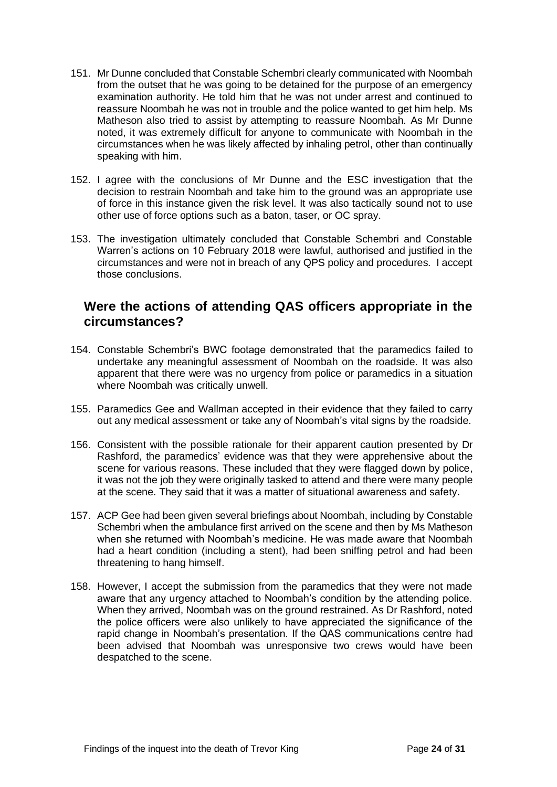- 151. Mr Dunne concluded that Constable Schembri clearly communicated with Noombah from the outset that he was going to be detained for the purpose of an emergency examination authority. He told him that he was not under arrest and continued to reassure Noombah he was not in trouble and the police wanted to get him help. Ms Matheson also tried to assist by attempting to reassure Noombah. As Mr Dunne noted, it was extremely difficult for anyone to communicate with Noombah in the circumstances when he was likely affected by inhaling petrol, other than continually speaking with him.
- 152. I agree with the conclusions of Mr Dunne and the ESC investigation that the decision to restrain Noombah and take him to the ground was an appropriate use of force in this instance given the risk level. It was also tactically sound not to use other use of force options such as a baton, taser, or OC spray.
- 153. The investigation ultimately concluded that Constable Schembri and Constable Warren's actions on 10 February 2018 were lawful, authorised and justified in the circumstances and were not in breach of any QPS policy and procedures. I accept those conclusions.

# **Were the actions of attending QAS officers appropriate in the circumstances?**

- 154. Constable Schembri's BWC footage demonstrated that the paramedics failed to undertake any meaningful assessment of Noombah on the roadside. It was also apparent that there were was no urgency from police or paramedics in a situation where Noombah was critically unwell.
- 155. Paramedics Gee and Wallman accepted in their evidence that they failed to carry out any medical assessment or take any of Noombah's vital signs by the roadside.
- 156. Consistent with the possible rationale for their apparent caution presented by Dr Rashford, the paramedics' evidence was that they were apprehensive about the scene for various reasons. These included that they were flagged down by police, it was not the job they were originally tasked to attend and there were many people at the scene. They said that it was a matter of situational awareness and safety.
- 157. ACP Gee had been given several briefings about Noombah, including by Constable Schembri when the ambulance first arrived on the scene and then by Ms Matheson when she returned with Noombah's medicine. He was made aware that Noombah had a heart condition (including a stent), had been sniffing petrol and had been threatening to hang himself.
- 158. However, I accept the submission from the paramedics that they were not made aware that any urgency attached to Noombah's condition by the attending police. When they arrived, Noombah was on the ground restrained. As Dr Rashford, noted the police officers were also unlikely to have appreciated the significance of the rapid change in Noombah's presentation. If the QAS communications centre had been advised that Noombah was unresponsive two crews would have been despatched to the scene.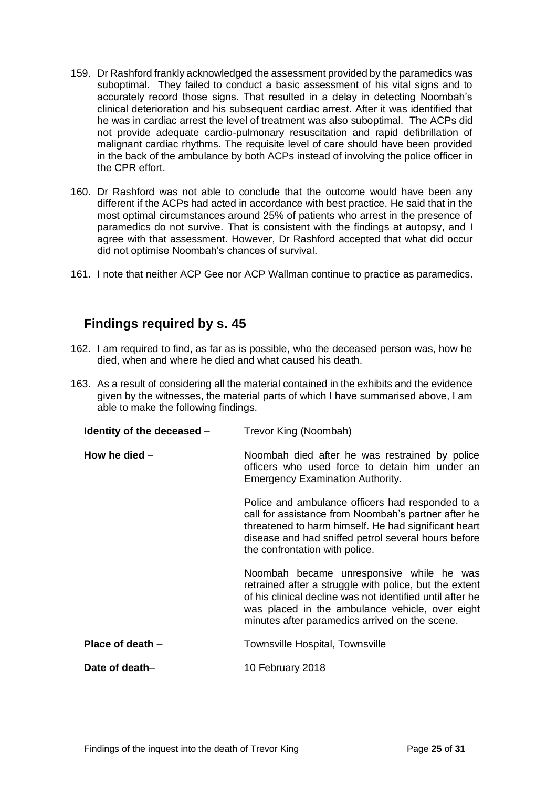- 159. Dr Rashford frankly acknowledged the assessment provided by the paramedics was suboptimal. They failed to conduct a basic assessment of his vital signs and to accurately record those signs. That resulted in a delay in detecting Noombah's clinical deterioration and his subsequent cardiac arrest. After it was identified that he was in cardiac arrest the level of treatment was also suboptimal. The ACPs did not provide adequate cardio-pulmonary resuscitation and rapid defibrillation of malignant cardiac rhythms. The requisite level of care should have been provided in the back of the ambulance by both ACPs instead of involving the police officer in the CPR effort.
- 160. Dr Rashford was not able to conclude that the outcome would have been any different if the ACPs had acted in accordance with best practice. He said that in the most optimal circumstances around 25% of patients who arrest in the presence of paramedics do not survive. That is consistent with the findings at autopsy, and I agree with that assessment. However, Dr Rashford accepted that what did occur did not optimise Noombah's chances of survival.
- 161. I note that neither ACP Gee nor ACP Wallman continue to practice as paramedics.

# <span id="page-25-0"></span>**Findings required by s. 45**

- 162. I am required to find, as far as is possible, who the deceased person was, how he died, when and where he died and what caused his death.
- 163. As a result of considering all the material contained in the exhibits and the evidence given by the witnesses, the material parts of which I have summarised above, I am able to make the following findings.

<span id="page-25-4"></span><span id="page-25-3"></span><span id="page-25-2"></span><span id="page-25-1"></span>

| Identity of the deceased $-$ | Trevor King (Noombah)                                                                                                                                                                                                                                                |
|------------------------------|----------------------------------------------------------------------------------------------------------------------------------------------------------------------------------------------------------------------------------------------------------------------|
| How he died $-$              | Noombah died after he was restrained by police<br>officers who used force to detain him under an<br><b>Emergency Examination Authority.</b>                                                                                                                          |
|                              | Police and ambulance officers had responded to a<br>call for assistance from Noombah's partner after he<br>threatened to harm himself. He had significant heart<br>disease and had sniffed petrol several hours before<br>the confrontation with police.             |
|                              | Noombah became unresponsive while he was<br>retrained after a struggle with police, but the extent<br>of his clinical decline was not identified until after he<br>was placed in the ambulance vehicle, over eight<br>minutes after paramedics arrived on the scene. |
| Place of death $-$           | Townsville Hospital, Townsville                                                                                                                                                                                                                                      |
| Date of death-               | 10 February 2018                                                                                                                                                                                                                                                     |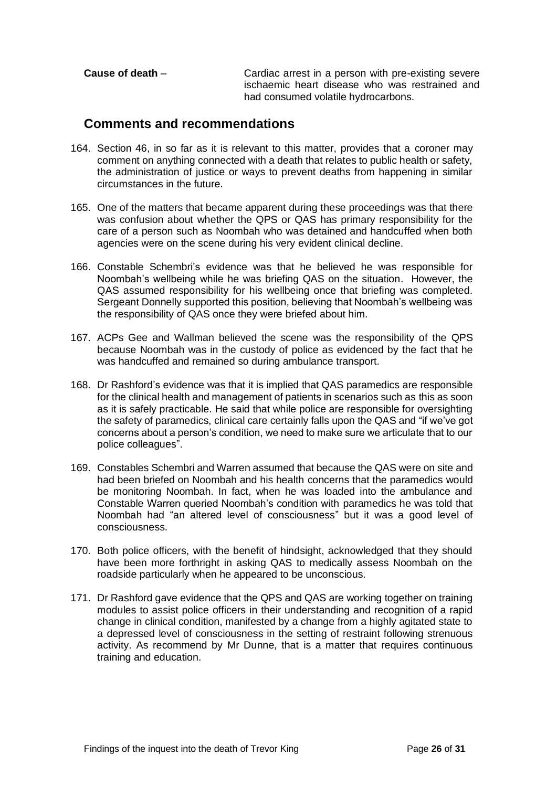<span id="page-26-0"></span>

| Cause of death $-$ | Cardiac arrest in a person with pre-existing severe |
|--------------------|-----------------------------------------------------|
|                    | ischaemic heart disease who was restrained and      |
|                    | had consumed volatile hydrocarbons.                 |

# <span id="page-26-1"></span>**Comments and recommendations**

- 164. Section 46, in so far as it is relevant to this matter, provides that a coroner may comment on anything connected with a death that relates to public health or safety, the administration of justice or ways to prevent deaths from happening in similar circumstances in the future.
- 165. One of the matters that became apparent during these proceedings was that there was confusion about whether the QPS or QAS has primary responsibility for the care of a person such as Noombah who was detained and handcuffed when both agencies were on the scene during his very evident clinical decline.
- 166. Constable Schembri's evidence was that he believed he was responsible for Noombah's wellbeing while he was briefing QAS on the situation. However, the QAS assumed responsibility for his wellbeing once that briefing was completed. Sergeant Donnelly supported this position, believing that Noombah's wellbeing was the responsibility of QAS once they were briefed about him.
- 167. ACPs Gee and Wallman believed the scene was the responsibility of the QPS because Noombah was in the custody of police as evidenced by the fact that he was handcuffed and remained so during ambulance transport.
- 168. Dr Rashford's evidence was that it is implied that QAS paramedics are responsible for the clinical health and management of patients in scenarios such as this as soon as it is safely practicable. He said that while police are responsible for oversighting the safety of paramedics, clinical care certainly falls upon the QAS and "if we've got concerns about a person's condition, we need to make sure we articulate that to our police colleagues".
- 169. Constables Schembri and Warren assumed that because the QAS were on site and had been briefed on Noombah and his health concerns that the paramedics would be monitoring Noombah. In fact, when he was loaded into the ambulance and Constable Warren queried Noombah's condition with paramedics he was told that Noombah had "an altered level of consciousness" but it was a good level of consciousness.
- 170. Both police officers, with the benefit of hindsight, acknowledged that they should have been more forthright in asking QAS to medically assess Noombah on the roadside particularly when he appeared to be unconscious.
- 171. Dr Rashford gave evidence that the QPS and QAS are working together on training modules to assist police officers in their understanding and recognition of a rapid change in clinical condition, manifested by a change from a highly agitated state to a depressed level of consciousness in the setting of restraint following strenuous activity. As recommend by Mr Dunne, that is a matter that requires continuous training and education.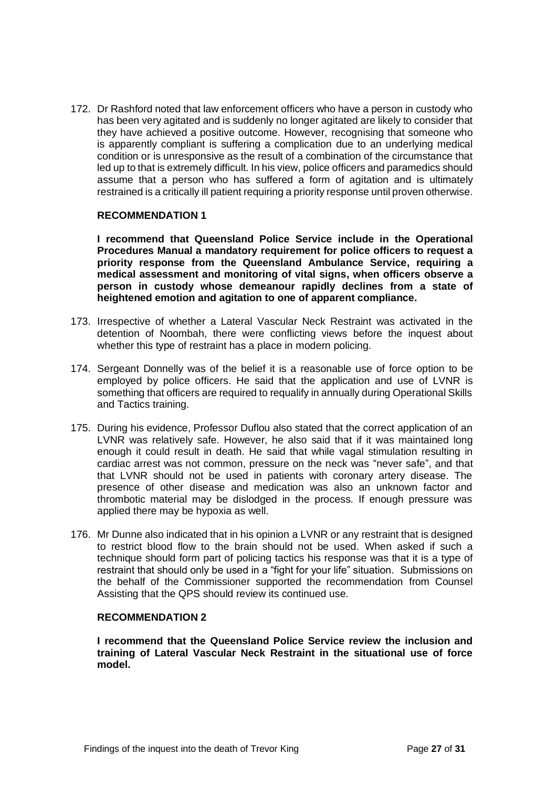172. Dr Rashford noted that law enforcement officers who have a person in custody who has been very agitated and is suddenly no longer agitated are likely to consider that they have achieved a positive outcome. However, recognising that someone who is apparently compliant is suffering a complication due to an underlying medical condition or is unresponsive as the result of a combination of the circumstance that led up to that is extremely difficult. In his view, police officers and paramedics should assume that a person who has suffered a form of agitation and is ultimately restrained is a critically ill patient requiring a priority response until proven otherwise.

#### **RECOMMENDATION 1**

**I recommend that Queensland Police Service include in the Operational Procedures Manual a mandatory requirement for police officers to request a priority response from the Queensland Ambulance Service, requiring a medical assessment and monitoring of vital signs, when officers observe a person in custody whose demeanour rapidly declines from a state of heightened emotion and agitation to one of apparent compliance.** 

- 173. Irrespective of whether a Lateral Vascular Neck Restraint was activated in the detention of Noombah, there were conflicting views before the inquest about whether this type of restraint has a place in modern policing.
- 174. Sergeant Donnelly was of the belief it is a reasonable use of force option to be employed by police officers. He said that the application and use of LVNR is something that officers are required to requalify in annually during Operational Skills and Tactics training.
- 175. During his evidence, Professor Duflou also stated that the correct application of an LVNR was relatively safe. However, he also said that if it was maintained long enough it could result in death. He said that while vagal stimulation resulting in cardiac arrest was not common, pressure on the neck was "never safe", and that that LVNR should not be used in patients with coronary artery disease. The presence of other disease and medication was also an unknown factor and thrombotic material may be dislodged in the process. If enough pressure was applied there may be hypoxia as well.
- 176. Mr Dunne also indicated that in his opinion a LVNR or any restraint that is designed to restrict blood flow to the brain should not be used. When asked if such a technique should form part of policing tactics his response was that it is a type of restraint that should only be used in a "fight for your life" situation. Submissions on the behalf of the Commissioner supported the recommendation from Counsel Assisting that the QPS should review its continued use.

## **RECOMMENDATION 2**

**I recommend that the Queensland Police Service review the inclusion and training of Lateral Vascular Neck Restraint in the situational use of force model.**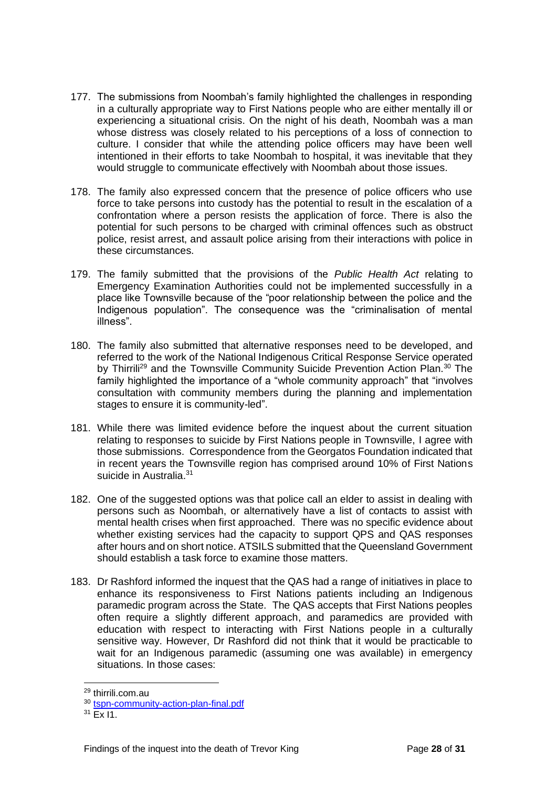- 177. The submissions from Noombah's family highlighted the challenges in responding in a culturally appropriate way to First Nations people who are either mentally ill or experiencing a situational crisis. On the night of his death, Noombah was a man whose distress was closely related to his perceptions of a loss of connection to culture. I consider that while the attending police officers may have been well intentioned in their efforts to take Noombah to hospital, it was inevitable that they would struggle to communicate effectively with Noombah about those issues.
- 178. The family also expressed concern that the presence of police officers who use force to take persons into custody has the potential to result in the escalation of a confrontation where a person resists the application of force. There is also the potential for such persons to be charged with criminal offences such as obstruct police, resist arrest, and assault police arising from their interactions with police in these circumstances.
- 179. The family submitted that the provisions of the *Public Health Act* relating to Emergency Examination Authorities could not be implemented successfully in a place like Townsville because of the "poor relationship between the police and the Indigenous population". The consequence was the "criminalisation of mental illness".
- 180. The family also submitted that alternative responses need to be developed, and referred to the work of the National Indigenous Critical Response Service operated by Thirrili<sup>29</sup> and the Townsville Community Suicide Prevention Action Plan.<sup>30</sup> The family highlighted the importance of a "whole community approach" that "involves consultation with community members during the planning and implementation stages to ensure it is community-led".
- 181. While there was limited evidence before the inquest about the current situation relating to responses to suicide by First Nations people in Townsville, I agree with those submissions. Correspondence from the Georgatos Foundation indicated that in recent years the Townsville region has comprised around 10% of First Nations suicide in Australia.<sup>31</sup>
- 182. One of the suggested options was that police call an elder to assist in dealing with persons such as Noombah, or alternatively have a list of contacts to assist with mental health crises when first approached. There was no specific evidence about whether existing services had the capacity to support QPS and QAS responses after hours and on short notice. ATSILS submitted that the Queensland Government should establish a task force to examine those matters.
- 183. Dr Rashford informed the inquest that the QAS had a range of initiatives in place to enhance its responsiveness to First Nations patients including an Indigenous paramedic program across the State. The QAS accepts that First Nations peoples often require a slightly different approach, and paramedics are provided with education with respect to interacting with First Nations people in a culturally sensitive way. However, Dr Rashford did not think that it would be practicable to wait for an Indigenous paramedic (assuming one was available) in emergency situations. In those cases:

<sup>29</sup> thirrili.com.au

<sup>30</sup> [tspn-community-action-plan-final.pdf](https://s3-ap-southeast-2.amazonaws.com/os-data/solas-org-au/bundle11/tspn-community-action-plan-final.pdf)

 $31$  Fx I1.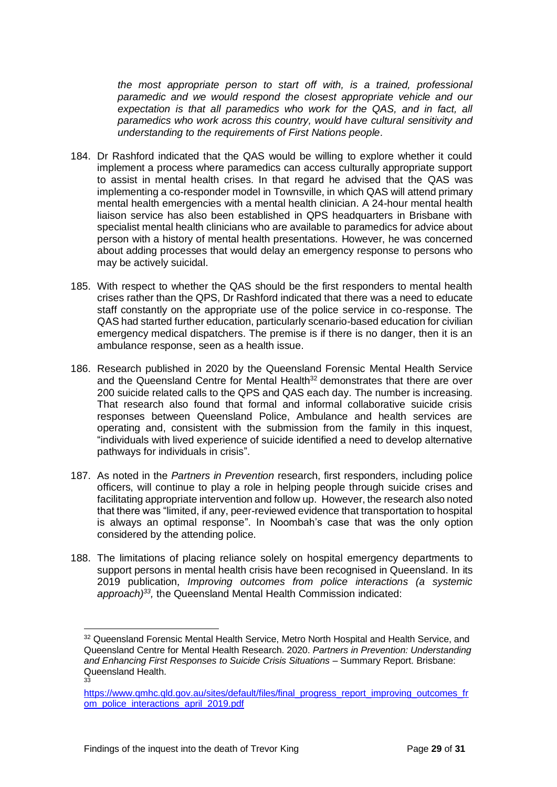*the most appropriate person to start off with, is a trained, professional paramedic and we would respond the closest appropriate vehicle and our expectation is that all paramedics who work for the QAS, and in fact, all paramedics who work across this country, would have cultural sensitivity and understanding to the requirements of First Nations people.*

- 184. Dr Rashford indicated that the QAS would be willing to explore whether it could implement a process where paramedics can access culturally appropriate support to assist in mental health crises. In that regard he advised that the QAS was implementing a co-responder model in Townsville, in which QAS will attend primary mental health emergencies with a mental health clinician. A 24-hour mental health liaison service has also been established in QPS headquarters in Brisbane with specialist mental health clinicians who are available to paramedics for advice about person with a history of mental health presentations. However, he was concerned about adding processes that would delay an emergency response to persons who may be actively suicidal.
- 185. With respect to whether the QAS should be the first responders to mental health crises rather than the QPS, Dr Rashford indicated that there was a need to educate staff constantly on the appropriate use of the police service in co-response. The QAS had started further education, particularly scenario-based education for civilian emergency medical dispatchers. The premise is if there is no danger, then it is an ambulance response, seen as a health issue.
- 186. Research published in 2020 by the Queensland Forensic Mental Health Service and the Queensland Centre for Mental Health<sup>32</sup> demonstrates that there are over 200 suicide related calls to the QPS and QAS each day. The number is increasing. That research also found that formal and informal collaborative suicide crisis responses between Queensland Police, Ambulance and health services are operating and, consistent with the submission from the family in this inquest, "individuals with lived experience of suicide identified a need to develop alternative pathways for individuals in crisis".
- 187. As noted in the *Partners in Prevention* research, first responders, including police officers, will continue to play a role in helping people through suicide crises and facilitating appropriate intervention and follow up. However, the research also noted that there was "limited, if any, peer-reviewed evidence that transportation to hospital is always an optimal response". In Noombah's case that was the only option considered by the attending police.
- 188. The limitations of placing reliance solely on hospital emergency departments to support persons in mental health crisis have been recognised in Queensland. In its 2019 publication, *Improving outcomes from police interactions (a systemic approach)<sup>33</sup> ,* the Queensland Mental Health Commission indicated:

<sup>&</sup>lt;sup>32</sup> Queensland Forensic Mental Health Service, Metro North Hospital and Health Service, and Queensland Centre for Mental Health Research. 2020. *Partners in Prevention: Understanding and Enhancing First Responses to Suicide Crisis Situations* – Summary Report. Brisbane: Queensland Health. 33

[https://www.qmhc.qld.gov.au/sites/default/files/final\\_progress\\_report\\_improving\\_outcomes\\_fr](https://www.qmhc.qld.gov.au/sites/default/files/final_progress_report_improving_outcomes_from_police_interactions_april_2019.pdf) [om\\_police\\_interactions\\_april\\_2019.pdf](https://www.qmhc.qld.gov.au/sites/default/files/final_progress_report_improving_outcomes_from_police_interactions_april_2019.pdf)